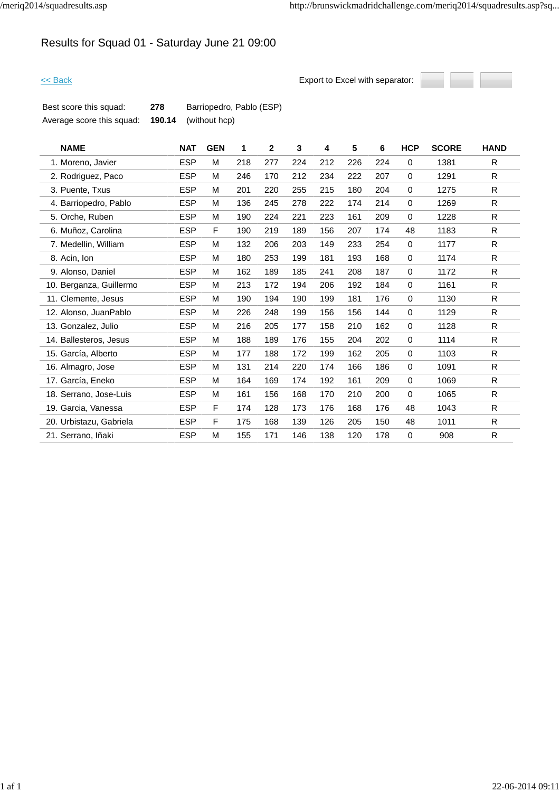# Results for Squad 01 - Saturday June 21 09:00



| Best score this squad:    | 278    | Barriopedro, Pablo (ESP) |
|---------------------------|--------|--------------------------|
| Average score this squad: | 190.14 | (without hcp)            |

| <b>NAME</b>             | <b>NAT</b> | <b>GEN</b> | 1   | $\mathbf{2}$ | 3   | 4   | 5   | 6   | <b>HCP</b>  | <b>SCORE</b> | <b>HAND</b>  |
|-------------------------|------------|------------|-----|--------------|-----|-----|-----|-----|-------------|--------------|--------------|
| 1. Moreno, Javier       | <b>ESP</b> | M          | 218 | 277          | 224 | 212 | 226 | 224 | 0           | 1381         | R.           |
| 2. Rodriguez, Paco      | <b>ESP</b> | M          | 246 | 170          | 212 | 234 | 222 | 207 | $\mathbf 0$ | 1291         | R            |
| 3. Puente, Txus         | <b>ESP</b> | M          | 201 | 220          | 255 | 215 | 180 | 204 | $\mathbf 0$ | 1275         | R            |
| 4. Barriopedro, Pablo   | <b>ESP</b> | M          | 136 | 245          | 278 | 222 | 174 | 214 | 0           | 1269         | R.           |
| 5. Orche, Ruben         | <b>ESP</b> | M          | 190 | 224          | 221 | 223 | 161 | 209 | 0           | 1228         | R            |
| 6. Muñoz, Carolina      | <b>ESP</b> | F          | 190 | 219          | 189 | 156 | 207 | 174 | 48          | 1183         | R            |
| 7. Medellin, William    | <b>ESP</b> | M          | 132 | 206          | 203 | 149 | 233 | 254 | $\mathbf 0$ | 1177         | R.           |
| 8. Acin, Ion            | <b>ESP</b> | M          | 180 | 253          | 199 | 181 | 193 | 168 | 0           | 1174         | $\mathsf{R}$ |
| 9. Alonso, Daniel       | <b>ESP</b> | M          | 162 | 189          | 185 | 241 | 208 | 187 | $\mathbf 0$ | 1172         | R            |
| 10. Berganza, Guillermo | <b>ESP</b> | M          | 213 | 172          | 194 | 206 | 192 | 184 | 0           | 1161         | R            |
| 11. Clemente, Jesus     | <b>ESP</b> | M          | 190 | 194          | 190 | 199 | 181 | 176 | 0           | 1130         | R            |
| 12. Alonso, JuanPablo   | <b>ESP</b> | M          | 226 | 248          | 199 | 156 | 156 | 144 | 0           | 1129         | R.           |
| 13. Gonzalez, Julio     | <b>ESP</b> | M          | 216 | 205          | 177 | 158 | 210 | 162 | $\mathbf 0$ | 1128         | $\mathsf{R}$ |
| 14. Ballesteros, Jesus  | <b>ESP</b> | M          | 188 | 189          | 176 | 155 | 204 | 202 | 0           | 1114         | R.           |
| 15. García, Alberto     | <b>ESP</b> | M          | 177 | 188          | 172 | 199 | 162 | 205 | $\mathbf 0$ | 1103         | R            |
| 16. Almagro, Jose       | <b>ESP</b> | M          | 131 | 214          | 220 | 174 | 166 | 186 | $\mathbf 0$ | 1091         | R            |
| 17. García, Eneko       | <b>ESP</b> | M          | 164 | 169          | 174 | 192 | 161 | 209 | $\mathbf 0$ | 1069         | $\mathsf{R}$ |
| 18. Serrano, Jose-Luis  | <b>ESP</b> | M          | 161 | 156          | 168 | 170 | 210 | 200 | 0           | 1065         | R            |
| 19. Garcia, Vanessa     | <b>ESP</b> | F          | 174 | 128          | 173 | 176 | 168 | 176 | 48          | 1043         | R.           |
| 20. Urbistazu, Gabriela | <b>ESP</b> | F          | 175 | 168          | 139 | 126 | 205 | 150 | 48          | 1011         | R            |
| 21. Serrano, Iñaki      | <b>ESP</b> | M          | 155 | 171          | 146 | 138 | 120 | 178 | 0           | 908          | $\mathsf{R}$ |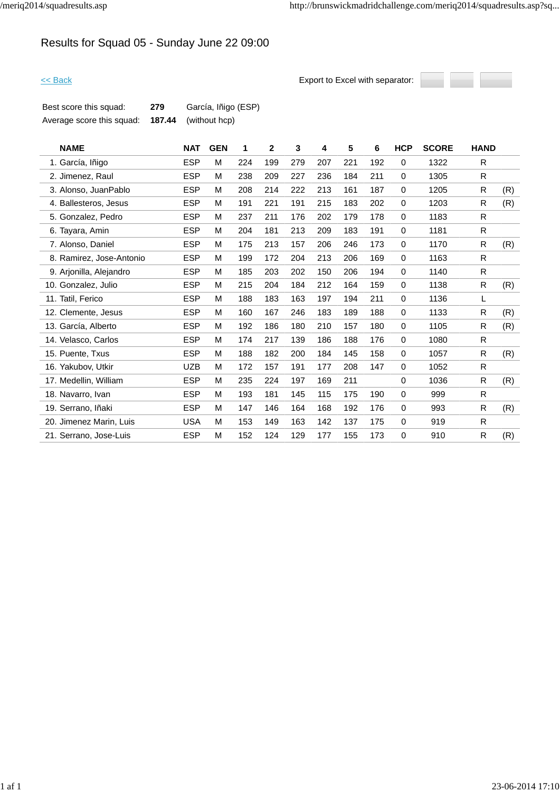# Results for Squad 05 - Sunday June 22 09:00



| Best score this squad:    | 279 | García, Iñigo (ESP)         |
|---------------------------|-----|-----------------------------|
| Average score this squad: |     | <b>187.44</b> (without hcp) |

| <b>NAME</b>              | <b>NAT</b> | <b>GEN</b> | 1   | $\mathbf{2}$ | 3   | 4   | 5   | 6   | <b>HCP</b>  | <b>SCORE</b> | <b>HAND</b>  |     |
|--------------------------|------------|------------|-----|--------------|-----|-----|-----|-----|-------------|--------------|--------------|-----|
| 1. García, Iñigo         | <b>ESP</b> | M          | 224 | 199          | 279 | 207 | 221 | 192 | $\mathbf 0$ | 1322         | R            |     |
| 2. Jimenez, Raul         | <b>ESP</b> | M          | 238 | 209          | 227 | 236 | 184 | 211 | $\mathbf 0$ | 1305         | R            |     |
| 3. Alonso, JuanPablo     | <b>ESP</b> | M          | 208 | 214          | 222 | 213 | 161 | 187 | 0           | 1205         | R.           | (R) |
| 4. Ballesteros, Jesus    | <b>ESP</b> | M          | 191 | 221          | 191 | 215 | 183 | 202 | 0           | 1203         | R            | (R) |
| 5. Gonzalez, Pedro       | <b>ESP</b> | M          | 237 | 211          | 176 | 202 | 179 | 178 | 0           | 1183         | R            |     |
| 6. Tayara, Amin          | <b>ESP</b> | M          | 204 | 181          | 213 | 209 | 183 | 191 | 0           | 1181         | R            |     |
| 7. Alonso, Daniel        | <b>ESP</b> | M          | 175 | 213          | 157 | 206 | 246 | 173 | $\mathbf 0$ | 1170         | R.           | (R) |
| 8. Ramirez, Jose-Antonio | <b>ESP</b> | M          | 199 | 172          | 204 | 213 | 206 | 169 | 0           | 1163         | R.           |     |
| 9. Arjonilla, Alejandro  | <b>ESP</b> | M          | 185 | 203          | 202 | 150 | 206 | 194 | $\mathbf 0$ | 1140         | R            |     |
| 10. Gonzalez, Julio      | <b>ESP</b> | M          | 215 | 204          | 184 | 212 | 164 | 159 | $\mathbf 0$ | 1138         | R            | (R) |
| 11. Tatil, Ferico        | <b>ESP</b> | M          | 188 | 183          | 163 | 197 | 194 | 211 | 0           | 1136         | L            |     |
| 12. Clemente, Jesus      | <b>ESP</b> | M          | 160 | 167          | 246 | 183 | 189 | 188 | $\mathbf 0$ | 1133         | R            | (R) |
| 13. García, Alberto      | <b>ESP</b> | M          | 192 | 186          | 180 | 210 | 157 | 180 | 0           | 1105         | R            | (R) |
| 14. Velasco, Carlos      | <b>ESP</b> | M          | 174 | 217          | 139 | 186 | 188 | 176 | $\mathbf 0$ | 1080         | R.           |     |
| 15. Puente, Txus         | <b>ESP</b> | M          | 188 | 182          | 200 | 184 | 145 | 158 | $\mathbf 0$ | 1057         | R            | (R) |
| 16. Yakubov, Utkir       | <b>UZB</b> | M          | 172 | 157          | 191 | 177 | 208 | 147 | $\mathbf 0$ | 1052         | R            |     |
| 17. Medellin, William    | <b>ESP</b> | M          | 235 | 224          | 197 | 169 | 211 |     | $\mathbf 0$ | 1036         | R            | (R) |
| 18. Navarro, Ivan        | <b>ESP</b> | M          | 193 | 181          | 145 | 115 | 175 | 190 | $\mathbf 0$ | 999          | R            |     |
| 19. Serrano, Iñaki       | <b>ESP</b> | M          | 147 | 146          | 164 | 168 | 192 | 176 | $\mathbf 0$ | 993          | R            | (R) |
| 20. Jimenez Marin, Luis  | <b>USA</b> | M          | 153 | 149          | 163 | 142 | 137 | 175 | 0           | 919          | R            |     |
| 21. Serrano, Jose-Luis   | <b>ESP</b> | M          | 152 | 124          | 129 | 177 | 155 | 173 | 0           | 910          | $\mathsf{R}$ | (R) |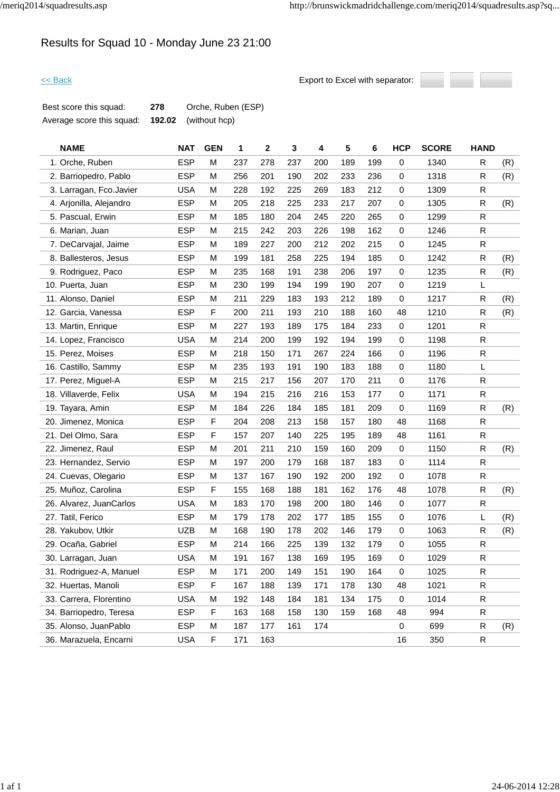## Results for Squad 10 - Monday June 23 21:00



| Best score this squad:    | 278 | Orche, Ruben (ESP)          |
|---------------------------|-----|-----------------------------|
| Average score this squad: |     | <b>192.02</b> (without hcp) |

| <b>NAME</b>             | <b>NAT</b> | <b>GEN</b> | 1   | 2   | 3   | 4   | 5   | 6   | <b>HCP</b> | <b>SCORE</b> | <b>HAND</b>  |     |
|-------------------------|------------|------------|-----|-----|-----|-----|-----|-----|------------|--------------|--------------|-----|
| 1. Orche, Ruben         | <b>ESP</b> | М          | 237 | 278 | 237 | 200 | 189 | 199 | 0          | 1340         | R            | (R) |
| 2. Barriopedro, Pablo   | <b>ESP</b> | М          | 256 | 201 | 190 | 202 | 233 | 236 | 0          | 1318         | R            | (R) |
| 3. Larragan, Fco.Javier | <b>USA</b> | M          | 228 | 192 | 225 | 269 | 183 | 212 | 0          | 1309         | R            |     |
| 4. Arjonilla, Alejandro | <b>ESP</b> | М          | 205 | 218 | 225 | 233 | 217 | 207 | 0          | 1305         | R            | (R) |
| 5. Pascual, Erwin       | <b>ESP</b> | м          | 185 | 180 | 204 | 245 | 220 | 265 | 0          | 1299         | $\mathsf{R}$ |     |
| 6. Marian, Juan         | <b>ESP</b> | M          | 215 | 242 | 203 | 226 | 198 | 162 | 0          | 1246         | R            |     |
| 7. DeCarvajal, Jaime    | <b>ESP</b> | M          | 189 | 227 | 200 | 212 | 202 | 215 | 0          | 1245         | R            |     |
| 8. Ballesteros, Jesus   | <b>ESP</b> | M          | 199 | 181 | 258 | 225 | 194 | 185 | 0          | 1242         | R            | (R) |
| 9. Rodriguez, Paco      | <b>ESP</b> | M          | 235 | 168 | 191 | 238 | 206 | 197 | 0          | 1235         | R            | (R) |
| 10. Puerta, Juan        | <b>ESP</b> | M          | 230 | 199 | 194 | 199 | 190 | 207 | 0          | 1219         | Г            |     |
| 11. Alonso, Daniel      | <b>ESP</b> | м          | 211 | 229 | 183 | 193 | 212 | 189 | 0          | 1217         | R            | (R) |
| 12. Garcia, Vanessa     | <b>ESP</b> | F          | 200 | 211 | 193 | 210 | 188 | 160 | 48         | 1210         | R            | (R) |
| 13. Martin, Enrique     | <b>ESP</b> | M          | 227 | 193 | 189 | 175 | 184 | 233 | 0          | 1201         | R            |     |
| 14. Lopez, Francisco    | <b>USA</b> | M          | 214 | 200 | 199 | 192 | 194 | 199 | 0          | 1198         | R            |     |
| 15. Perez, Moises       | <b>ESP</b> | М          | 218 | 150 | 171 | 267 | 224 | 166 | 0          | 1196         | R            |     |
| 16. Castillo, Sammy     | <b>ESP</b> | м          | 235 | 193 | 191 | 190 | 183 | 188 | 0          | 1180         | L            |     |
| 17. Perez, Miguel-A     | <b>ESP</b> | м          | 215 | 217 | 156 | 207 | 170 | 211 | 0          | 1176         | R            |     |
| 18. Villaverde, Felix   | <b>USA</b> | M          | 194 | 215 | 216 | 216 | 153 | 177 | 0          | 1171         | R            |     |
| 19. Tayara, Amin        | <b>ESP</b> | М          | 184 | 226 | 184 | 185 | 181 | 209 | 0          | 1169         | $\mathsf{R}$ | (R) |
| 20. Jimenez, Monica     | <b>ESP</b> | F          | 204 | 208 | 213 | 158 | 157 | 180 | 48         | 1168         | R            |     |
| 21. Del Olmo, Sara      | <b>ESP</b> | F          | 157 | 207 | 140 | 225 | 195 | 189 | 48         | 1161         | R            |     |
| 22. Jimenez, Raul       | <b>ESP</b> | M          | 201 | 211 | 210 | 159 | 160 | 209 | 0          | 1150         | R            | (R) |
| 23. Hernandez, Servio   | <b>ESP</b> | М          | 197 | 200 | 179 | 168 | 187 | 183 | 0          | 1114         | R            |     |
| 24. Cuevas, Olegario    | <b>ESP</b> | м          | 137 | 167 | 190 | 192 | 200 | 192 | 0          | 1078         | $\mathsf{R}$ |     |
| 25. Muñoz, Carolina     | <b>ESP</b> | F          | 155 | 168 | 188 | 181 | 162 | 176 | 48         | 1078         | $\mathsf{R}$ | (R) |
| 26. Alvarez, JuanCarlos | <b>USA</b> | М          | 183 | 170 | 198 | 200 | 180 | 146 | 0          | 1077         | R            |     |
| 27. Tatil, Ferico       | <b>ESP</b> | М          | 179 | 178 | 202 | 177 | 185 | 155 | 0          | 1076         | L            | (R) |
| 28. Yakubov, Utkir      | <b>UZB</b> | M          | 168 | 190 | 178 | 202 | 146 | 179 | 0          | 1063         | R            | (R) |
| 29. Ocaña, Gabriel      | <b>ESP</b> | M          | 214 | 166 | 225 | 139 | 132 | 179 | 0          | 1055         | $\mathsf{R}$ |     |
| 30. Larragan, Juan      | <b>USA</b> | М          | 191 | 167 | 138 | 169 | 195 | 169 | 0          | 1029         | R            |     |
| 31. Rodriguez-A, Manuel | <b>ESP</b> | М          | 171 | 200 | 149 | 151 | 190 | 164 | 0          | 1025         | ${\sf R}$    |     |
| 32. Huertas, Manoli     | <b>ESP</b> | F          | 167 | 188 | 139 | 171 | 178 | 130 | 48         | 1021         | ${\sf R}$    |     |
| 33. Carrera, Florentino | <b>USA</b> | М          | 192 | 148 | 184 | 181 | 134 | 175 | 0          | 1014         | $\mathsf{R}$ |     |
| 34. Barriopedro, Teresa | <b>ESP</b> | F          | 163 | 168 | 158 | 130 | 159 | 168 | 48         | 994          | $\mathsf{R}$ |     |
| 35. Alonso, JuanPablo   | <b>ESP</b> | м          | 187 | 177 | 161 | 174 |     |     | 0          | 699          | R            | (R) |
| 36. Marazuela, Encarni  | <b>USA</b> | F          | 171 | 163 |     |     |     |     | 16         | 350          | $\mathsf{R}$ |     |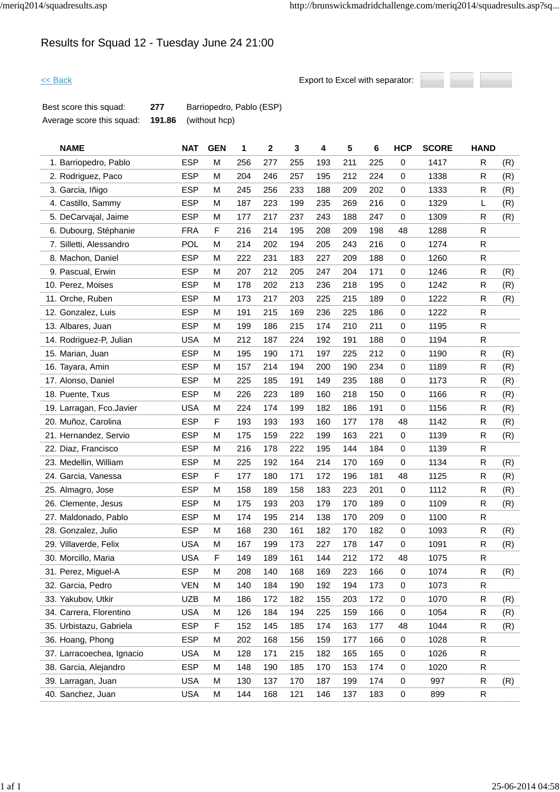# Results for Squad 12 - Tuesday June 24 21:00



| Best score this squad:    | 277 | Barriopedro, Pablo (ESP)    |
|---------------------------|-----|-----------------------------|
| Average score this squad: |     | <b>191.86</b> (without hcp) |

| <b>NAME</b>               | <b>NAT</b> | <b>GEN</b>  | 1   | $\mathbf{2}$ | 3   | 4   | 5   | 6   | <b>HCP</b>  | <b>SCORE</b> | <b>HAND</b>  |     |
|---------------------------|------------|-------------|-----|--------------|-----|-----|-----|-----|-------------|--------------|--------------|-----|
| 1. Barriopedro, Pablo     | <b>ESP</b> | M           | 256 | 277          | 255 | 193 | 211 | 225 | 0           | 1417         | R            | (R) |
| 2. Rodriguez, Paco        | <b>ESP</b> | М           | 204 | 246          | 257 | 195 | 212 | 224 | 0           | 1338         | R            | (R) |
| 3. Garcia, Iñigo          | <b>ESP</b> | M           | 245 | 256          | 233 | 188 | 209 | 202 | 0           | 1333         | R            | (R) |
| 4. Castillo, Sammy        | <b>ESP</b> | M           | 187 | 223          | 199 | 235 | 269 | 216 | 0           | 1329         | L            | (R) |
| 5. DeCarvajal, Jaime      | <b>ESP</b> | M           | 177 | 217          | 237 | 243 | 188 | 247 | $\pmb{0}$   | 1309         | R            | (R) |
| 6. Dubourg, Stéphanie     | <b>FRA</b> | F           | 216 | 214          | 195 | 208 | 209 | 198 | 48          | 1288         | R            |     |
| 7. Silletti, Alessandro   | POL        | M           | 214 | 202          | 194 | 205 | 243 | 216 | 0           | 1274         | R            |     |
| 8. Machon, Daniel         | <b>ESP</b> | M           | 222 | 231          | 183 | 227 | 209 | 188 | 0           | 1260         | R            |     |
| 9. Pascual, Erwin         | <b>ESP</b> | M           | 207 | 212          | 205 | 247 | 204 | 171 | 0           | 1246         | $\mathsf{R}$ | (R) |
| 10. Perez, Moises         | <b>ESP</b> | M           | 178 | 202          | 213 | 236 | 218 | 195 | $\mathbf 0$ | 1242         | R            | (R) |
| 11. Orche, Ruben          | <b>ESP</b> | M           | 173 | 217          | 203 | 225 | 215 | 189 | 0           | 1222         | R            | (R) |
| 12. Gonzalez, Luis        | <b>ESP</b> | M           | 191 | 215          | 169 | 236 | 225 | 186 | 0           | 1222         | $\mathsf{R}$ |     |
| 13. Albares, Juan         | <b>ESP</b> | M           | 199 | 186          | 215 | 174 | 210 | 211 | 0           | 1195         | $\mathsf{R}$ |     |
| 14. Rodriguez-P, Julian   | <b>USA</b> | M           | 212 | 187          | 224 | 192 | 191 | 188 | 0           | 1194         | R            |     |
| 15. Marian, Juan          | <b>ESP</b> | M           | 195 | 190          | 171 | 197 | 225 | 212 | $\mathbf 0$ | 1190         | $\mathsf{R}$ | (R) |
| 16. Tayara, Amin          | <b>ESP</b> | M           | 157 | 214          | 194 | 200 | 190 | 234 | 0           | 1189         | R            | (R) |
| 17. Alonso, Daniel        | <b>ESP</b> | M           | 225 | 185          | 191 | 149 | 235 | 188 | 0           | 1173         | R            | (R) |
| 18. Puente, Txus          | <b>ESP</b> | M           | 226 | 223          | 189 | 160 | 218 | 150 | 0           | 1166         | R            | (R) |
| 19. Larragan, Fco.Javier  | <b>USA</b> | M           | 224 | 174          | 199 | 182 | 186 | 191 | $\mathbf 0$ | 1156         | $\mathsf{R}$ | (R) |
| 20. Muñoz, Carolina       | <b>ESP</b> | F           | 193 | 193          | 193 | 160 | 177 | 178 | 48          | 1142         | R            | (R) |
| 21. Hernandez, Servio     | <b>ESP</b> | М           | 175 | 159          | 222 | 199 | 163 | 221 | 0           | 1139         | R            | (R) |
| 22. Diaz, Francisco       | <b>ESP</b> | M           | 216 | 178          | 222 | 195 | 144 | 184 | $\mathbf 0$ | 1139         | R            |     |
| 23. Medellin, William     | <b>ESP</b> | M           | 225 | 192          | 164 | 214 | 170 | 169 | $\mathbf 0$ | 1134         | R            | (R) |
| 24. Garcia, Vanessa       | <b>ESP</b> | $\mathsf F$ | 177 | 180          | 171 | 172 | 196 | 181 | 48          | 1125         | $\mathsf{R}$ | (R) |
| 25. Almagro, Jose         | <b>ESP</b> | M           | 158 | 189          | 158 | 183 | 223 | 201 | $\mathbf 0$ | 1112         | $\mathsf{R}$ | (R) |
| 26. Clemente, Jesus       | <b>ESP</b> | M           | 175 | 193          | 203 | 179 | 170 | 189 | 0           | 1109         | R            | (R) |
| 27. Maldonado, Pablo      | <b>ESP</b> | M           | 174 | 195          | 214 | 138 | 170 | 209 | $\mathbf 0$ | 1100         | $\mathsf{R}$ |     |
| 28. Gonzalez, Julio       | <b>ESP</b> | M           | 168 | 230          | 161 | 182 | 170 | 182 | 0           | 1093         | R            | (R) |
| 29. Villaverde, Felix     | <b>USA</b> | M           | 167 | 199          | 173 | 227 | 178 | 147 | $\mathbf 0$ | 1091         | $\mathsf{R}$ | (R) |
| 30. Morcillo, Maria       | <b>USA</b> | F           | 149 | 189          | 161 | 144 | 212 | 172 | 48          | 1075         | R            |     |
| 31. Perez, Miguel-A       | <b>ESP</b> | M           | 208 | 140          | 168 | 169 | 223 | 166 | 0           | 1074         | ${\sf R}$    | (R) |
| 32. Garcia, Pedro         | <b>VEN</b> | M           | 140 | 184          | 190 | 192 | 194 | 173 | $\pmb{0}$   | 1073         | $\mathsf{R}$ |     |
| 33. Yakubov, Utkir        | <b>UZB</b> | M           | 186 | 172          | 182 | 155 | 203 | 172 | 0           | 1070         | R            | (R) |
| 34. Carrera, Florentino   | <b>USA</b> | M           | 126 | 184          | 194 | 225 | 159 | 166 | 0           | 1054         | R            | (R) |
| 35. Urbistazu, Gabriela   | <b>ESP</b> | F           | 152 | 145          | 185 | 174 | 163 | 177 | 48          | 1044         | R            | (R) |
| 36. Hoang, Phong          | <b>ESP</b> | M           | 202 | 168          | 156 | 159 | 177 | 166 | 0           | 1028         | $\mathsf{R}$ |     |
| 37. Larracoechea, Ignacio | <b>USA</b> | M           | 128 | 171          | 215 | 182 | 165 | 165 | 0           | 1026         | $\mathsf{R}$ |     |
| 38. Garcia, Alejandro     | <b>ESP</b> | M           | 148 | 190          | 185 | 170 | 153 | 174 | 0           | 1020         | R            |     |
| 39. Larragan, Juan        | <b>USA</b> | M           | 130 | 137          | 170 | 187 | 199 | 174 | 0           | 997          | R            | (R) |
| 40. Sanchez, Juan         | <b>USA</b> | M           | 144 | 168          | 121 | 146 | 137 | 183 | 0           | 899          | R            |     |
|                           |            |             |     |              |     |     |     |     |             |              |              |     |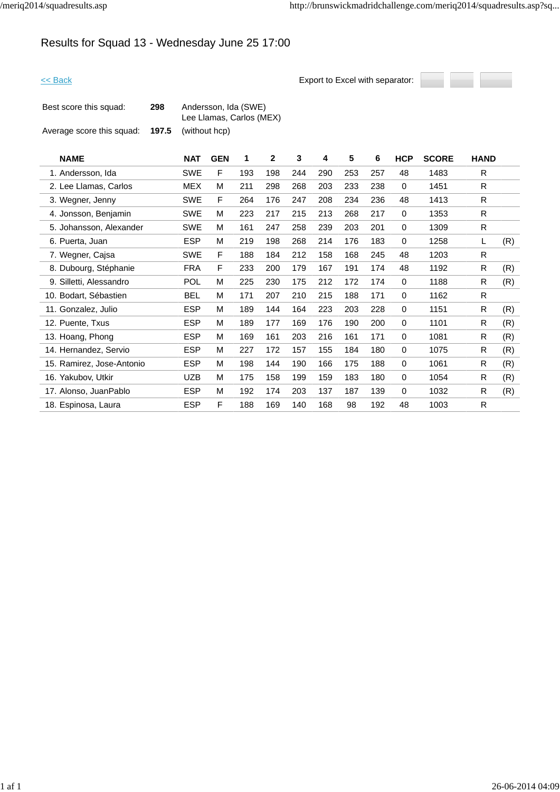# Results for Squad 13 - Wednesday June 25 17:00



| Best score this squad:    | 298 | Andersson, Ida (SWE)<br>Lee Llamas, Carlos (MEX) |
|---------------------------|-----|--------------------------------------------------|
| Average score this squad: |     | <b>197.5</b> (without hcp)                       |

| <b>NAME</b>               | <b>NAT</b> | <b>GEN</b> | 1   | $\mathbf{2}$ | 3   | 4   | 5   | 6   | <b>HCP</b>  | <b>SCORE</b> | <b>HAND</b> |     |
|---------------------------|------------|------------|-----|--------------|-----|-----|-----|-----|-------------|--------------|-------------|-----|
| 1. Andersson, Ida         | SWE        | F          | 193 | 198          | 244 | 290 | 253 | 257 | 48          | 1483         | R           |     |
| 2. Lee Llamas, Carlos     | MEX        | м          | 211 | 298          | 268 | 203 | 233 | 238 | 0           | 1451         | R.          |     |
| 3. Wegner, Jenny          | SWE        | F          | 264 | 176          | 247 | 208 | 234 | 236 | 48          | 1413         | R.          |     |
| 4. Jonsson, Benjamin      | SWE        | м          | 223 | 217          | 215 | 213 | 268 | 217 | $\mathbf 0$ | 1353         | R           |     |
| 5. Johansson, Alexander   | <b>SWE</b> | м          | 161 | 247          | 258 | 239 | 203 | 201 | 0           | 1309         | R           |     |
| 6. Puerta, Juan           | <b>ESP</b> | м          | 219 | 198          | 268 | 214 | 176 | 183 | 0           | 1258         | L           | (R) |
| 7. Wegner, Cajsa          | <b>SWE</b> | F          | 188 | 184          | 212 | 158 | 168 | 245 | 48          | 1203         | R           |     |
| 8. Dubourg, Stéphanie     | <b>FRA</b> | F          | 233 | 200          | 179 | 167 | 191 | 174 | 48          | 1192         | R           | (R) |
| 9. Silletti, Alessandro   | <b>POL</b> | M          | 225 | 230          | 175 | 212 | 172 | 174 | 0           | 1188         | R           | (R) |
| 10. Bodart, Sébastien     | <b>BEL</b> | м          | 171 | 207          | 210 | 215 | 188 | 171 | 0           | 1162         | R           |     |
| 11. Gonzalez, Julio       | <b>ESP</b> | м          | 189 | 144          | 164 | 223 | 203 | 228 | 0           | 1151         | R           | (R) |
| 12. Puente, Txus          | <b>ESP</b> | м          | 189 | 177          | 169 | 176 | 190 | 200 | 0           | 1101         | R           | (R) |
| 13. Hoang, Phong          | <b>ESP</b> | м          | 169 | 161          | 203 | 216 | 161 | 171 | 0           | 1081         | R           | (R) |
| 14. Hernandez, Servio     | <b>ESP</b> | M          | 227 | 172          | 157 | 155 | 184 | 180 | 0           | 1075         | R           | (R) |
| 15. Ramirez, Jose-Antonio | <b>ESP</b> | М          | 198 | 144          | 190 | 166 | 175 | 188 | 0           | 1061         | R           | (R) |
| 16. Yakubov, Utkir        | <b>UZB</b> | М          | 175 | 158          | 199 | 159 | 183 | 180 | 0           | 1054         | R           | (R) |
| 17. Alonso, JuanPablo     | <b>ESP</b> | м          | 192 | 174          | 203 | 137 | 187 | 139 | 0           | 1032         | R           | (R) |
| 18. Espinosa, Laura       | <b>ESP</b> | F          | 188 | 169          | 140 | 168 | 98  | 192 | 48          | 1003         | R.          |     |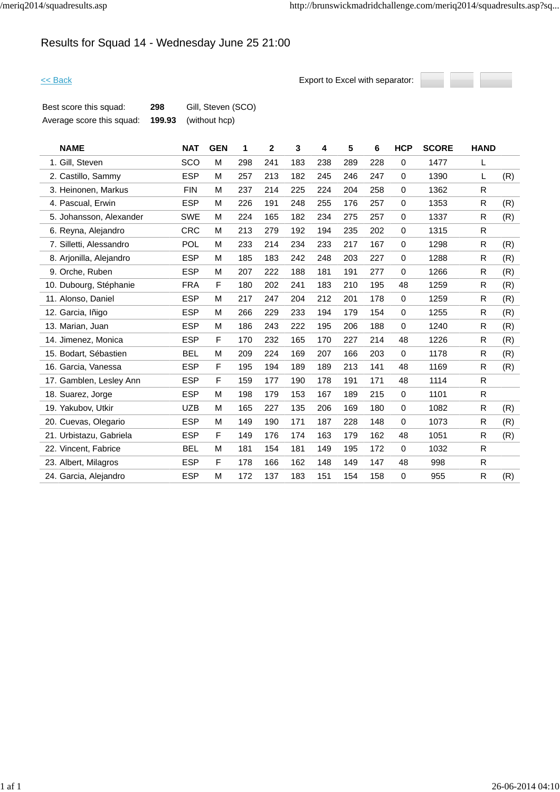## Results for Squad 14 - Wednesday June 25 21:00



| Best score this squad:    | 298    | Gill, Steven (SCO) |
|---------------------------|--------|--------------------|
| Average score this squad: | 199.93 | (without hcp)      |

| <b>NAME</b>             | <b>NAT</b> | <b>GEN</b> | 1   | $\mathbf{2}$ | 3   | 4   | 5   | 6   | <b>HCP</b>  | <b>SCORE</b> | <b>HAND</b> |     |
|-------------------------|------------|------------|-----|--------------|-----|-----|-----|-----|-------------|--------------|-------------|-----|
| 1. Gill, Steven         | SCO        | M          | 298 | 241          | 183 | 238 | 289 | 228 | 0           | 1477         | L           |     |
| 2. Castillo, Sammy      | <b>ESP</b> | M          | 257 | 213          | 182 | 245 | 246 | 247 | $\mathbf 0$ | 1390         | L           | (R) |
| 3. Heinonen, Markus     | <b>FIN</b> | M          | 237 | 214          | 225 | 224 | 204 | 258 | 0           | 1362         | R           |     |
| 4. Pascual, Erwin       | <b>ESP</b> | M          | 226 | 191          | 248 | 255 | 176 | 257 | 0           | 1353         | R           | (R) |
| 5. Johansson, Alexander | SWE        | M          | 224 | 165          | 182 | 234 | 275 | 257 | 0           | 1337         | R           | (R) |
| 6. Reyna, Alejandro     | <b>CRC</b> | M          | 213 | 279          | 192 | 194 | 235 | 202 | 0           | 1315         | R           |     |
| 7. Silletti, Alessandro | <b>POL</b> | M          | 233 | 214          | 234 | 233 | 217 | 167 | 0           | 1298         | R           | (R) |
| 8. Arjonilla, Alejandro | <b>ESP</b> | M          | 185 | 183          | 242 | 248 | 203 | 227 | 0           | 1288         | R           | (R) |
| 9. Orche, Ruben         | <b>ESP</b> | M          | 207 | 222          | 188 | 181 | 191 | 277 | $\mathbf 0$ | 1266         | R           | (R) |
| 10. Dubourg, Stéphanie  | <b>FRA</b> | F          | 180 | 202          | 241 | 183 | 210 | 195 | 48          | 1259         | R           | (R) |
| 11. Alonso, Daniel      | <b>ESP</b> | M          | 217 | 247          | 204 | 212 | 201 | 178 | $\mathbf 0$ | 1259         | R           | (R) |
| 12. Garcia, Iñigo       | <b>ESP</b> | M          | 266 | 229          | 233 | 194 | 179 | 154 | 0           | 1255         | R           | (R) |
| 13. Marian, Juan        | <b>ESP</b> | M          | 186 | 243          | 222 | 195 | 206 | 188 | $\mathbf 0$ | 1240         | R           | (R) |
| 14. Jimenez, Monica     | <b>ESP</b> | F          | 170 | 232          | 165 | 170 | 227 | 214 | 48          | 1226         | R           | (R) |
| 15. Bodart, Sébastien   | <b>BEL</b> | M          | 209 | 224          | 169 | 207 | 166 | 203 | $\mathbf 0$ | 1178         | R           | (R) |
| 16. Garcia, Vanessa     | <b>ESP</b> | F          | 195 | 194          | 189 | 189 | 213 | 141 | 48          | 1169         | R           | (R) |
| 17. Gamblen, Lesley Ann | <b>ESP</b> | F          | 159 | 177          | 190 | 178 | 191 | 171 | 48          | 1114         | R.          |     |
| 18. Suarez, Jorge       | <b>ESP</b> | M          | 198 | 179          | 153 | 167 | 189 | 215 | $\mathbf 0$ | 1101         | R.          |     |
| 19. Yakubov, Utkir      | <b>UZB</b> | M          | 165 | 227          | 135 | 206 | 169 | 180 | 0           | 1082         | R           | (R) |
| 20. Cuevas, Olegario    | <b>ESP</b> | M          | 149 | 190          | 171 | 187 | 228 | 148 | $\mathbf 0$ | 1073         | R           | (R) |
| 21. Urbistazu, Gabriela | <b>ESP</b> | F          | 149 | 176          | 174 | 163 | 179 | 162 | 48          | 1051         | R           | (R) |
| 22. Vincent, Fabrice    | <b>BEL</b> | M          | 181 | 154          | 181 | 149 | 195 | 172 | $\mathbf 0$ | 1032         | R.          |     |
| 23. Albert, Milagros    | <b>ESP</b> | F          | 178 | 166          | 162 | 148 | 149 | 147 | 48          | 998          | R           |     |
| 24. Garcia, Alejandro   | <b>ESP</b> | M          | 172 | 137          | 183 | 151 | 154 | 158 | 0           | 955          | R           | (R) |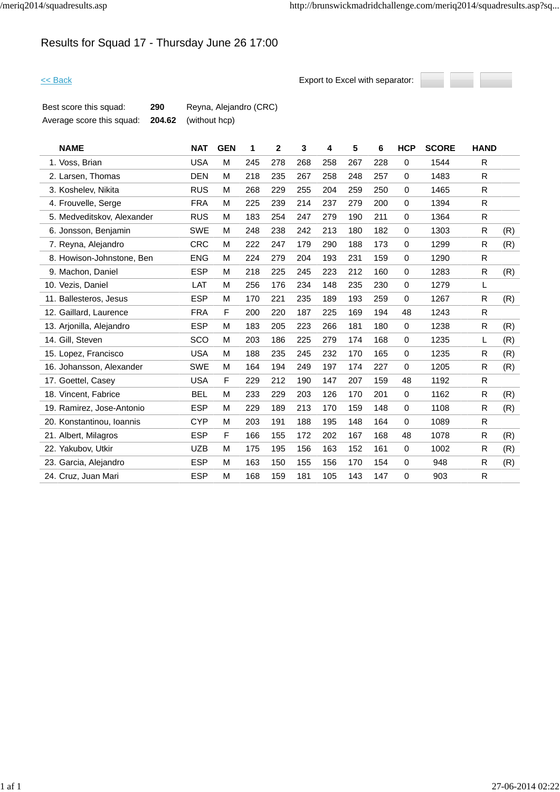# Results for Squad 17 - Thursday June 26 17:00



| Best score this squad:    | 290 | Reyna, Alejandro (CRC)      |
|---------------------------|-----|-----------------------------|
| Average score this squad: |     | <b>204.62</b> (without hcp) |

| <b>NAME</b>                | <b>NAT</b> | <b>GEN</b> | 1   | $\overline{2}$ | 3   | 4   | 5   | 6   | <b>HCP</b>  | <b>SCORE</b> | <b>HAND</b> |     |
|----------------------------|------------|------------|-----|----------------|-----|-----|-----|-----|-------------|--------------|-------------|-----|
| 1. Voss, Brian             | <b>USA</b> | M          | 245 | 278            | 268 | 258 | 267 | 228 | $\Omega$    | 1544         | R.          |     |
| 2. Larsen, Thomas          | <b>DEN</b> | М          | 218 | 235            | 267 | 258 | 248 | 257 | $\mathbf 0$ | 1483         | R.          |     |
| 3. Koshelev, Nikita        | <b>RUS</b> | м          | 268 | 229            | 255 | 204 | 259 | 250 | $\Omega$    | 1465         | R.          |     |
| 4. Frouvelle, Serge        | <b>FRA</b> | М          | 225 | 239            | 214 | 237 | 279 | 200 | $\mathbf 0$ | 1394         | R.          |     |
| 5. Medveditskov, Alexander | <b>RUS</b> | M          | 183 | 254            | 247 | 279 | 190 | 211 | $\mathbf 0$ | 1364         | R.          |     |
| 6. Jonsson, Benjamin       | <b>SWE</b> | М          | 248 | 238            | 242 | 213 | 180 | 182 | $\Omega$    | 1303         | R           | (R) |
| 7. Reyna, Alejandro        | <b>CRC</b> | М          | 222 | 247            | 179 | 290 | 188 | 173 | 0           | 1299         | R           | (R) |
| 8. Howison-Johnstone, Ben  | <b>ENG</b> | М          | 224 | 279            | 204 | 193 | 231 | 159 | 0           | 1290         | R.          |     |
| 9. Machon, Daniel          | <b>ESP</b> | м          | 218 | 225            | 245 | 223 | 212 | 160 | $\Omega$    | 1283         | R           | (R) |
| 10. Vezis, Daniel          | LAT        | М          | 256 | 176            | 234 | 148 | 235 | 230 | $\mathbf 0$ | 1279         | L           |     |
| 11. Ballesteros, Jesus     | <b>ESP</b> | М          | 170 | 221            | 235 | 189 | 193 | 259 | $\mathbf 0$ | 1267         | R           | (R) |
| 12. Gaillard, Laurence     | <b>FRA</b> | F.         | 200 | 220            | 187 | 225 | 169 | 194 | 48          | 1243         | R.          |     |
| 13. Arjonilla, Alejandro   | <b>ESP</b> | М          | 183 | 205            | 223 | 266 | 181 | 180 | $\mathbf 0$ | 1238         | R.          | (R) |
| 14. Gill, Steven           | SCO        | М          | 203 | 186            | 225 | 279 | 174 | 168 | 0           | 1235         | L.          | (R) |
| 15. Lopez, Francisco       | <b>USA</b> | м          | 188 | 235            | 245 | 232 | 170 | 165 | $\Omega$    | 1235         | R           | (R) |
| 16. Johansson, Alexander   | <b>SWE</b> | М          | 164 | 194            | 249 | 197 | 174 | 227 | $\Omega$    | 1205         | R.          | (R) |
| 17. Goettel, Casey         | <b>USA</b> | F          | 229 | 212            | 190 | 147 | 207 | 159 | 48          | 1192         | R           |     |
| 18. Vincent, Fabrice       | <b>BEL</b> | м          | 233 | 229            | 203 | 126 | 170 | 201 | 0           | 1162         | R           | (R) |
| 19. Ramirez, Jose-Antonio  | <b>ESP</b> | М          | 229 | 189            | 213 | 170 | 159 | 148 | $\mathbf 0$ | 1108         | R.          | (R) |
| 20. Konstantinou, Ioannis  | <b>CYP</b> | м          | 203 | 191            | 188 | 195 | 148 | 164 | $\mathbf 0$ | 1089         | R.          |     |
| 21. Albert, Milagros       | <b>ESP</b> | F          | 166 | 155            | 172 | 202 | 167 | 168 | 48          | 1078         | R           | (R) |
| 22. Yakubov, Utkir         | <b>UZB</b> | М          | 175 | 195            | 156 | 163 | 152 | 161 | $\Omega$    | 1002         | R           | (R) |
| 23. Garcia, Alejandro      | <b>ESP</b> | М          | 163 | 150            | 155 | 156 | 170 | 154 | 0           | 948          | R.          | (R) |
| 24. Cruz, Juan Mari        | <b>ESP</b> | М          | 168 | 159            | 181 | 105 | 143 | 147 | 0           | 903          | R.          |     |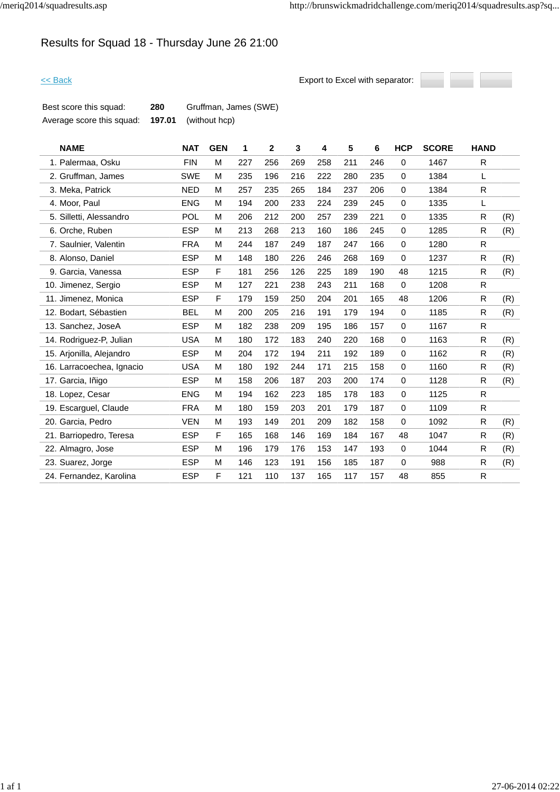# Results for Squad 18 - Thursday June 26 21:00



| Best score this squad:    | 280    | Gruffman, James (SWE) |
|---------------------------|--------|-----------------------|
| Average score this squad: | 197.01 | (without hcp)         |

| <b>NAME</b>               | <b>NAT</b> | <b>GEN</b> | 1   | $\mathbf{2}$ | 3   | 4   | 5   | 6   | <b>HCP</b>  | <b>SCORE</b> | <b>HAND</b>  |     |
|---------------------------|------------|------------|-----|--------------|-----|-----|-----|-----|-------------|--------------|--------------|-----|
| 1. Palermaa, Osku         | <b>FIN</b> | M          | 227 | 256          | 269 | 258 | 211 | 246 | $\mathbf 0$ | 1467         | R            |     |
| 2. Gruffman, James        | <b>SWE</b> | M          | 235 | 196          | 216 | 222 | 280 | 235 | $\mathbf 0$ | 1384         | L.           |     |
| 3. Meka, Patrick          | <b>NED</b> | M          | 257 | 235          | 265 | 184 | 237 | 206 | $\mathbf 0$ | 1384         | R.           |     |
| 4. Moor, Paul             | <b>ENG</b> | M          | 194 | 200          | 233 | 224 | 239 | 245 | $\mathbf 0$ | 1335         | L            |     |
| 5. Silletti, Alessandro   | POL        | M          | 206 | 212          | 200 | 257 | 239 | 221 | 0           | 1335         | R            | (R) |
| 6. Orche, Ruben           | <b>ESP</b> | M          | 213 | 268          | 213 | 160 | 186 | 245 | $\mathbf 0$ | 1285         | R            | (R) |
| 7. Saulnier, Valentin     | <b>FRA</b> | M          | 244 | 187          | 249 | 187 | 247 | 166 | $\mathbf 0$ | 1280         | R            |     |
| 8. Alonso, Daniel         | <b>ESP</b> | M          | 148 | 180          | 226 | 246 | 268 | 169 | $\mathbf 0$ | 1237         | R            | (R) |
| 9. Garcia, Vanessa        | <b>ESP</b> | F          | 181 | 256          | 126 | 225 | 189 | 190 | 48          | 1215         | R.           | (R) |
| 10. Jimenez, Sergio       | <b>ESP</b> | M          | 127 | 221          | 238 | 243 | 211 | 168 | $\mathbf 0$ | 1208         | R            |     |
| 11. Jimenez, Monica       | <b>ESP</b> | F          | 179 | 159          | 250 | 204 | 201 | 165 | 48          | 1206         | R            | (R) |
| 12. Bodart, Sébastien     | <b>BEL</b> | M          | 200 | 205          | 216 | 191 | 179 | 194 | 0           | 1185         | R            | (R) |
| 13. Sanchez, JoseA        | <b>ESP</b> | M          | 182 | 238          | 209 | 195 | 186 | 157 | $\mathbf 0$ | 1167         | R.           |     |
| 14. Rodriguez-P, Julian   | <b>USA</b> | M          | 180 | 172          | 183 | 240 | 220 | 168 | 0           | 1163         | R            | (R) |
| 15. Arjonilla, Alejandro  | <b>ESP</b> | M          | 204 | 172          | 194 | 211 | 192 | 189 | $\mathbf 0$ | 1162         | R            | (R) |
| 16. Larracoechea, Ignacio | <b>USA</b> | M          | 180 | 192          | 244 | 171 | 215 | 158 | $\mathbf 0$ | 1160         | R            | (R) |
| 17. Garcia, Iñigo         | <b>ESP</b> | M          | 158 | 206          | 187 | 203 | 200 | 174 | $\mathbf 0$ | 1128         | R.           | (R) |
| 18. Lopez, Cesar          | <b>ENG</b> | M          | 194 | 162          | 223 | 185 | 178 | 183 | 0           | 1125         | R            |     |
| 19. Escarguel, Claude     | <b>FRA</b> | M          | 180 | 159          | 203 | 201 | 179 | 187 | $\mathbf 0$ | 1109         | R            |     |
| 20. Garcia, Pedro         | <b>VEN</b> | M          | 193 | 149          | 201 | 209 | 182 | 158 | $\mathbf 0$ | 1092         | R            | (R) |
| 21. Barriopedro, Teresa   | <b>ESP</b> | F          | 165 | 168          | 146 | 169 | 184 | 167 | 48          | 1047         | R.           | (R) |
| 22. Almagro, Jose         | <b>ESP</b> | M          | 196 | 179          | 176 | 153 | 147 | 193 | $\mathbf 0$ | 1044         | R.           | (R) |
| 23. Suarez, Jorge         | <b>ESP</b> | M          | 146 | 123          | 191 | 156 | 185 | 187 | $\mathbf 0$ | 988          | R            | (R) |
| 24. Fernandez, Karolina   | <b>ESP</b> | F          | 121 | 110          | 137 | 165 | 117 | 157 | 48          | 855          | $\mathsf{R}$ |     |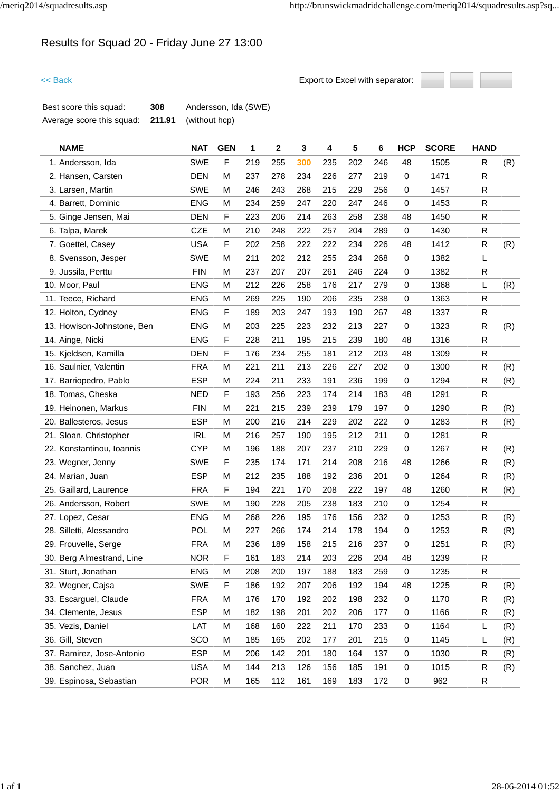# Results for Squad 20 - Friday June 27 13:00



| Best score this squad:    | 308    | Andersson, Ida (SWE) |
|---------------------------|--------|----------------------|
| Average score this squad: | 211.91 | (without hcp)        |

| <b>NAME</b>                | <b>NAT</b> | <b>GEN</b> | 1   | 2   | 3   | 4   | 5   | 6   | <b>HCP</b>  | <b>SCORE</b> | <b>HAND</b> |     |
|----------------------------|------------|------------|-----|-----|-----|-----|-----|-----|-------------|--------------|-------------|-----|
| 1. Andersson, Ida          | <b>SWE</b> | F          | 219 | 255 | 300 | 235 | 202 | 246 | 48          | 1505         | R           | (R) |
| 2. Hansen, Carsten         | <b>DEN</b> | M          | 237 | 278 | 234 | 226 | 277 | 219 | 0           | 1471         | R           |     |
| 3. Larsen, Martin          | <b>SWE</b> | M          | 246 | 243 | 268 | 215 | 229 | 256 | 0           | 1457         | R           |     |
| 4. Barrett, Dominic        | <b>ENG</b> | м          | 234 | 259 | 247 | 220 | 247 | 246 | $\mathbf 0$ | 1453         | R           |     |
| 5. Ginge Jensen, Mai       | <b>DEN</b> | F          | 223 | 206 | 214 | 263 | 258 | 238 | 48          | 1450         | R           |     |
| 6. Talpa, Marek            | <b>CZE</b> | M          | 210 | 248 | 222 | 257 | 204 | 289 | 0           | 1430         | R           |     |
| 7. Goettel, Casey          | <b>USA</b> | F          | 202 | 258 | 222 | 222 | 234 | 226 | 48          | 1412         | R           | (R) |
| 8. Svensson, Jesper        | <b>SWE</b> | M          | 211 | 202 | 212 | 255 | 234 | 268 | 0           | 1382         | L           |     |
| 9. Jussila, Perttu         | <b>FIN</b> | M          | 237 | 207 | 207 | 261 | 246 | 224 | 0           | 1382         | R           |     |
| 10. Moor, Paul             | <b>ENG</b> | M          | 212 | 226 | 258 | 176 | 217 | 279 | $\mathbf 0$ | 1368         | L           | (R) |
| 11. Teece, Richard         | <b>ENG</b> | м          | 269 | 225 | 190 | 206 | 235 | 238 | 0           | 1363         | R           |     |
| 12. Holton, Cydney         | <b>ENG</b> | F          | 189 | 203 | 247 | 193 | 190 | 267 | 48          | 1337         | R.          |     |
| 13. Howison-Johnstone, Ben | <b>ENG</b> | M          | 203 | 225 | 223 | 232 | 213 | 227 | 0           | 1323         | R           | (R) |
| 14. Ainge, Nicki           | <b>ENG</b> | F          | 228 | 211 | 195 | 215 | 239 | 180 | 48          | 1316         | R           |     |
| 15. Kjeldsen, Kamilla      | <b>DEN</b> | F          | 176 | 234 | 255 | 181 | 212 | 203 | 48          | 1309         | R           |     |
| 16. Saulnier, Valentin     | <b>FRA</b> | М          | 221 | 211 | 213 | 226 | 227 | 202 | 0           | 1300         | R           | (R) |
| 17. Barriopedro, Pablo     | <b>ESP</b> | М          | 224 | 211 | 233 | 191 | 236 | 199 | $\mathbf 0$ | 1294         | R           | (R) |
| 18. Tomas, Cheska          | <b>NED</b> | F          | 193 | 256 | 223 | 174 | 214 | 183 | 48          | 1291         | R           |     |
| 19. Heinonen, Markus       | <b>FIN</b> | M          | 221 | 215 | 239 | 239 | 179 | 197 | $\mathbf 0$ | 1290         | ${\sf R}$   | (R) |
| 20. Ballesteros, Jesus     | <b>ESP</b> | M          | 200 | 216 | 214 | 229 | 202 | 222 | 0           | 1283         | R           | (R) |
| 21. Sloan, Christopher     | IRL        | М          | 216 | 257 | 190 | 195 | 212 | 211 | 0           | 1281         | R           |     |
| 22. Konstantinou, Ioannis  | <b>CYP</b> | M          | 196 | 188 | 207 | 237 | 210 | 229 | $\mathbf 0$ | 1267         | R           | (R) |
| 23. Wegner, Jenny          | <b>SWE</b> | F          | 235 | 174 | 171 | 214 | 208 | 216 | 48          | 1266         | R           | (R) |
| 24. Marian, Juan           | <b>ESP</b> | М          | 212 | 235 | 188 | 192 | 236 | 201 | $\mathbf 0$ | 1264         | R           | (R) |
| 25. Gaillard, Laurence     | <b>FRA</b> | F          | 194 | 221 | 170 | 208 | 222 | 197 | 48          | 1260         | R           | (R) |
| 26. Andersson, Robert      | <b>SWE</b> | M          | 190 | 228 | 205 | 238 | 183 | 210 | 0           | 1254         | R           |     |
| 27. Lopez, Cesar           | <b>ENG</b> | M          | 268 | 226 | 195 | 176 | 156 | 232 | 0           | 1253         | R           | (R) |
| 28. Silletti, Alessandro   | <b>POL</b> | M          | 227 | 266 | 174 | 214 | 178 | 194 | 0           | 1253         | R           | (R) |
| 29. Frouvelle, Serge       | <b>FRA</b> | М          | 236 | 189 | 158 | 215 | 216 | 237 | $\mathbf 0$ | 1251         | R           | (R) |
| 30. Berg Almestrand, Line  | <b>NOR</b> | F          | 161 | 183 | 214 | 203 | 226 | 204 | 48          | 1239         | R           |     |
| 31. Sturt, Jonathan        | <b>ENG</b> | Μ          | 208 | 200 | 197 | 188 | 183 | 259 | 0           | 1235         | R           |     |
| 32. Wegner, Cajsa          | <b>SWE</b> | F          | 186 | 192 | 207 | 206 | 192 | 194 | 48          | 1225         | R           | (R) |
| 33. Escarguel, Claude      | <b>FRA</b> | Μ          | 176 | 170 | 192 | 202 | 198 | 232 | 0           | 1170         | R           | (R) |
| 34. Clemente, Jesus        | <b>ESP</b> | M          | 182 | 198 | 201 | 202 | 206 | 177 | 0           | 1166         | R           | (R) |
| 35. Vezis, Daniel          | LAT        | М          | 168 | 160 | 222 | 211 | 170 | 233 | 0           | 1164         | L           | (R) |
| 36. Gill, Steven           | SCO        | м          | 185 | 165 | 202 | 177 | 201 | 215 | 0           | 1145         | L           | (R) |
| 37. Ramirez, Jose-Antonio  | <b>ESP</b> | Μ          | 206 | 142 | 201 | 180 | 164 | 137 | 0           | 1030         | R           | (R) |
| 38. Sanchez, Juan          | <b>USA</b> | M          | 144 | 213 | 126 | 156 | 185 | 191 | 0           | 1015         | R           | (R) |
| 39. Espinosa, Sebastian    | <b>POR</b> | М          | 165 | 112 | 161 | 169 | 183 | 172 | $\pmb{0}$   | 962          | R           |     |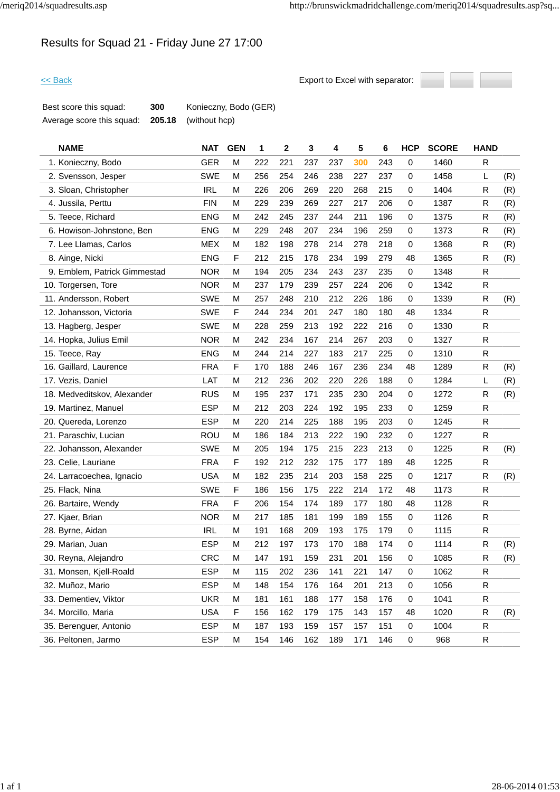# Results for Squad 21 - Friday June 27 17:00



| Best score this squad:    | 300 | Konieczny, Bodo (GER)       |
|---------------------------|-----|-----------------------------|
| Average score this squad: |     | <b>205.18</b> (without hcp) |

| <b>NAME</b>                  | <b>NAT</b> | <b>GEN</b>  | 1   | $\mathbf 2$ | 3   | 4   | 5   | 6   | <b>HCP</b>  | <b>SCORE</b> | <b>HAND</b>  |     |
|------------------------------|------------|-------------|-----|-------------|-----|-----|-----|-----|-------------|--------------|--------------|-----|
| 1. Konieczny, Bodo           | <b>GER</b> | M           | 222 | 221         | 237 | 237 | 300 | 243 | 0           | 1460         | R            |     |
| 2. Svensson, Jesper          | <b>SWE</b> | M           | 256 | 254         | 246 | 238 | 227 | 237 | 0           | 1458         | L            | (R) |
| 3. Sloan, Christopher        | <b>IRL</b> | M           | 226 | 206         | 269 | 220 | 268 | 215 | 0           | 1404         | R            | (R) |
| 4. Jussila, Perttu           | <b>FIN</b> | M           | 229 | 239         | 269 | 227 | 217 | 206 | 0           | 1387         | R            | (R) |
| 5. Teece, Richard            | <b>ENG</b> | M           | 242 | 245         | 237 | 244 | 211 | 196 | 0           | 1375         | R            | (R) |
| 6. Howison-Johnstone, Ben    | <b>ENG</b> | М           | 229 | 248         | 207 | 234 | 196 | 259 | 0           | 1373         | R            | (R) |
| 7. Lee Llamas, Carlos        | <b>MEX</b> | M           | 182 | 198         | 278 | 214 | 278 | 218 | 0           | 1368         | R            | (R) |
| 8. Ainge, Nicki              | <b>ENG</b> | F           | 212 | 215         | 178 | 234 | 199 | 279 | 48          | 1365         | R            | (R) |
| 9. Emblem, Patrick Gimmestad | <b>NOR</b> | M           | 194 | 205         | 234 | 243 | 237 | 235 | 0           | 1348         | R            |     |
| 10. Torgersen, Tore          | <b>NOR</b> | M           | 237 | 179         | 239 | 257 | 224 | 206 | 0           | 1342         | R            |     |
| 11. Andersson, Robert        | <b>SWE</b> | M           | 257 | 248         | 210 | 212 | 226 | 186 | 0           | 1339         | R            | (R) |
| 12. Johansson, Victoria      | <b>SWE</b> | $\mathsf F$ | 244 | 234         | 201 | 247 | 180 | 180 | 48          | 1334         | R            |     |
| 13. Hagberg, Jesper          | <b>SWE</b> | M           | 228 | 259         | 213 | 192 | 222 | 216 | 0           | 1330         | R            |     |
| 14. Hopka, Julius Emil       | <b>NOR</b> | M           | 242 | 234         | 167 | 214 | 267 | 203 | 0           | 1327         | R            |     |
| 15. Teece, Ray               | <b>ENG</b> | M           | 244 | 214         | 227 | 183 | 217 | 225 | 0           | 1310         | R            |     |
| 16. Gaillard, Laurence       | <b>FRA</b> | F           | 170 | 188         | 246 | 167 | 236 | 234 | 48          | 1289         | R            | (R) |
| 17. Vezis, Daniel            | LAT        | M           | 212 | 236         | 202 | 220 | 226 | 188 | 0           | 1284         | L            | (R) |
| 18. Medveditskov, Alexander  | <b>RUS</b> | M           | 195 | 237         | 171 | 235 | 230 | 204 | 0           | 1272         | R            | (R) |
| 19. Martinez, Manuel         | <b>ESP</b> | M           | 212 | 203         | 224 | 192 | 195 | 233 | 0           | 1259         | R            |     |
| 20. Quereda, Lorenzo         | <b>ESP</b> | M           | 220 | 214         | 225 | 188 | 195 | 203 | 0           | 1245         | R            |     |
| 21. Paraschiv, Lucian        | <b>ROU</b> | M           | 186 | 184         | 213 | 222 | 190 | 232 | 0           | 1227         | R            |     |
| 22. Johansson, Alexander     | <b>SWE</b> | M           | 205 | 194         | 175 | 215 | 223 | 213 | 0           | 1225         | R            | (R) |
| 23. Celie, Lauriane          | <b>FRA</b> | F           | 192 | 212         | 232 | 175 | 177 | 189 | 48          | 1225         | R            |     |
| 24. Larracoechea, Ignacio    | <b>USA</b> | M           | 182 | 235         | 214 | 203 | 158 | 225 | $\mathbf 0$ | 1217         | R            | (R) |
| 25. Flack, Nina              | <b>SWE</b> | F           | 186 | 156         | 175 | 222 | 214 | 172 | 48          | 1173         | R            |     |
| 26. Bartaire, Wendy          | <b>FRA</b> | F           | 206 | 154         | 174 | 189 | 177 | 180 | 48          | 1128         | R            |     |
| 27. Kjaer, Brian             | <b>NOR</b> | M           | 217 | 185         | 181 | 199 | 189 | 155 | 0           | 1126         | R            |     |
| 28. Byrne, Aidan             | <b>IRL</b> | M           | 191 | 168         | 209 | 193 | 175 | 179 | 0           | 1115         | R            |     |
| 29. Marian, Juan             | <b>ESP</b> | M           | 212 | 197         | 173 | 170 | 188 | 174 | 0           | 1114         | R            | (R) |
| 30. Reyna, Alejandro         | <b>CRC</b> | M           | 147 | 191         | 159 | 231 | 201 | 156 | 0           | 1085         | R            | (R) |
| 31. Monsen, Kjell-Roald      | <b>ESP</b> | M           | 115 | 202         | 236 | 141 | 221 | 147 | 0           | 1062         | $\mathsf{R}$ |     |
| 32. Muñoz, Mario             | <b>ESP</b> | M           | 148 | 154         | 176 | 164 | 201 | 213 | 0           | 1056         | R            |     |
| 33. Dementiev, Viktor        | <b>UKR</b> | М           | 181 | 161         | 188 | 177 | 158 | 176 | 0           | 1041         | R            |     |
| 34. Morcillo, Maria          | <b>USA</b> | F           | 156 | 162         | 179 | 175 | 143 | 157 | 48          | 1020         | R            | (R) |
| 35. Berenguer, Antonio       | <b>ESP</b> | М           | 187 | 193         | 159 | 157 | 157 | 151 | 0           | 1004         | R            |     |
| 36. Peltonen, Jarmo          | <b>ESP</b> | M           | 154 | 146         | 162 | 189 | 171 | 146 | $\mathbf 0$ | 968          | R            |     |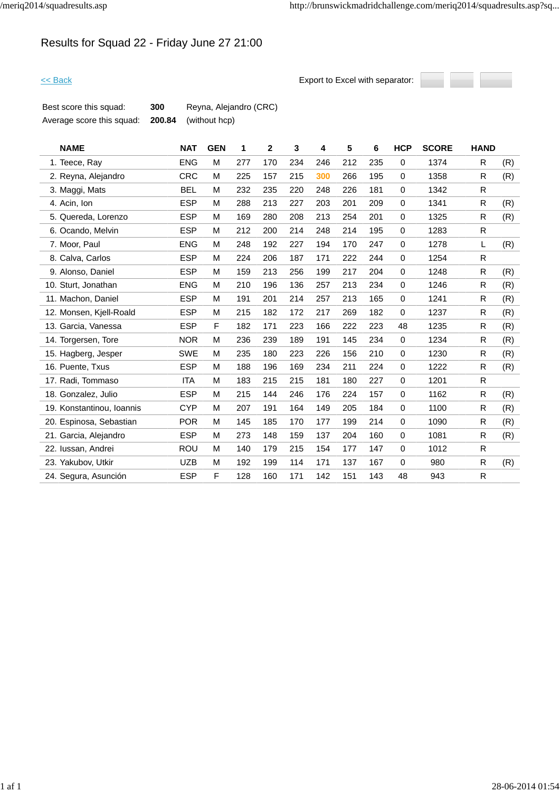# Results for Squad 22 - Friday June 27 21:00



| Best score this squad:    | 300 | Reyna, Alejandro (CRC)      |
|---------------------------|-----|-----------------------------|
| Average score this squad: |     | <b>200.84</b> (without hcp) |

| <b>NAME</b>               | <b>NAT</b> | <b>GEN</b> | 1   | $\mathbf{2}$ | 3   | 4   | 5   | 6   | <b>HCP</b>  | <b>SCORE</b> | <b>HAND</b>  |     |
|---------------------------|------------|------------|-----|--------------|-----|-----|-----|-----|-------------|--------------|--------------|-----|
| 1. Teece, Ray             | <b>ENG</b> | M          | 277 | 170          | 234 | 246 | 212 | 235 | $\mathbf 0$ | 1374         | R            | (R) |
| 2. Reyna, Alejandro       | <b>CRC</b> | M          | 225 | 157          | 215 | 300 | 266 | 195 | $\mathbf 0$ | 1358         | R            | (R) |
| 3. Maggi, Mats            | <b>BEL</b> | M          | 232 | 235          | 220 | 248 | 226 | 181 | $\mathbf 0$ | 1342         | R.           |     |
| 4. Acin, Ion              | <b>ESP</b> | M          | 288 | 213          | 227 | 203 | 201 | 209 | 0           | 1341         | R            | (R) |
| 5. Quereda, Lorenzo       | <b>ESP</b> | M          | 169 | 280          | 208 | 213 | 254 | 201 | $\mathbf 0$ | 1325         | R            | (R) |
| 6. Ocando, Melvin         | <b>ESP</b> | M          | 212 | 200          | 214 | 248 | 214 | 195 | $\mathbf 0$ | 1283         | R.           |     |
| 7. Moor, Paul             | <b>ENG</b> | м          | 248 | 192          | 227 | 194 | 170 | 247 | $\mathbf 0$ | 1278         | L            | (R) |
| 8. Calva, Carlos          | <b>ESP</b> | M          | 224 | 206          | 187 | 171 | 222 | 244 | $\mathbf 0$ | 1254         | R            |     |
| 9. Alonso, Daniel         | <b>ESP</b> | M          | 159 | 213          | 256 | 199 | 217 | 204 | $\mathbf 0$ | 1248         | R.           | (R) |
| 10. Sturt, Jonathan       | <b>ENG</b> | M          | 210 | 196          | 136 | 257 | 213 | 234 | $\mathbf 0$ | 1246         | R            | (R) |
| 11. Machon, Daniel        | <b>ESP</b> | M          | 191 | 201          | 214 | 257 | 213 | 165 | $\mathbf 0$ | 1241         | R            | (R) |
| 12. Monsen, Kjell-Roald   | <b>ESP</b> | M          | 215 | 182          | 172 | 217 | 269 | 182 | 0           | 1237         | R.           | (R) |
| 13. Garcia, Vanessa       | <b>ESP</b> | F          | 182 | 171          | 223 | 166 | 222 | 223 | 48          | 1235         | R            | (R) |
| 14. Torgersen, Tore       | <b>NOR</b> | M          | 236 | 239          | 189 | 191 | 145 | 234 | $\mathbf 0$ | 1234         | R            | (R) |
| 15. Hagberg, Jesper       | <b>SWE</b> | M          | 235 | 180          | 223 | 226 | 156 | 210 | $\mathbf 0$ | 1230         | R            | (R) |
| 16. Puente, Txus          | <b>ESP</b> | M          | 188 | 196          | 169 | 234 | 211 | 224 | 0           | 1222         | R            | (R) |
| 17. Radi, Tommaso         | <b>ITA</b> | M          | 183 | 215          | 215 | 181 | 180 | 227 | $\mathbf 0$ | 1201         | R            |     |
| 18. Gonzalez, Julio       | <b>ESP</b> | M          | 215 | 144          | 246 | 176 | 224 | 157 | 0           | 1162         | R            | (R) |
| 19. Konstantinou, Ioannis | <b>CYP</b> | M          | 207 | 191          | 164 | 149 | 205 | 184 | $\mathbf 0$ | 1100         | R            | (R) |
| 20. Espinosa, Sebastian   | <b>POR</b> | M          | 145 | 185          | 170 | 177 | 199 | 214 | $\mathbf 0$ | 1090         | R.           | (R) |
| 21. Garcia, Alejandro     | <b>ESP</b> | M          | 273 | 148          | 159 | 137 | 204 | 160 | $\mathbf 0$ | 1081         | R            | (R) |
| 22. Iussan, Andrei        | <b>ROU</b> | M          | 140 | 179          | 215 | 154 | 177 | 147 | $\mathbf 0$ | 1012         | R.           |     |
| 23. Yakubov, Utkir        | <b>UZB</b> | M          | 192 | 199          | 114 | 171 | 137 | 167 | $\mathbf 0$ | 980          | R            | (R) |
| 24. Segura, Asunción      | <b>ESP</b> | F          | 128 | 160          | 171 | 142 | 151 | 143 | 48          | 943          | $\mathsf{R}$ |     |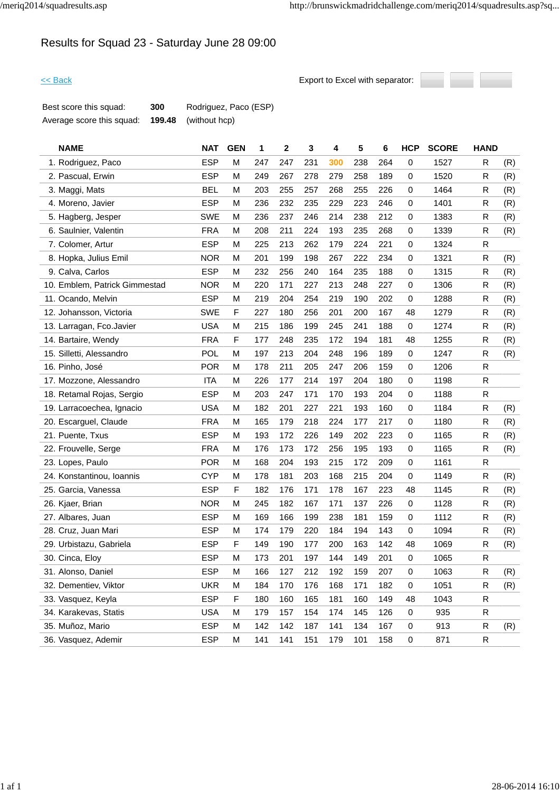# Results for Squad 23 - Saturday June 28 09:00



| Best score this squad:    | 300    | Rodriguez, Paco (ESP) |
|---------------------------|--------|-----------------------|
| Average score this squad: | 199.48 | (without hcp)         |

| <b>NAME</b>                   | <b>NAT</b> | <b>GEN</b>  | 1   | $\mathbf 2$ | 3   | 4   | 5   | 6   | <b>HCP</b>  | <b>SCORE</b> | <b>HAND</b> |     |
|-------------------------------|------------|-------------|-----|-------------|-----|-----|-----|-----|-------------|--------------|-------------|-----|
| 1. Rodriguez, Paco            | <b>ESP</b> | M           | 247 | 247         | 231 | 300 | 238 | 264 | 0           | 1527         | R           | (R) |
| 2. Pascual, Erwin             | <b>ESP</b> | M           | 249 | 267         | 278 | 279 | 258 | 189 | 0           | 1520         | R           | (R) |
| 3. Maggi, Mats                | <b>BEL</b> | M           | 203 | 255         | 257 | 268 | 255 | 226 | 0           | 1464         | R           | (R) |
| 4. Moreno, Javier             | <b>ESP</b> | M           | 236 | 232         | 235 | 229 | 223 | 246 | 0           | 1401         | R           | (R) |
| 5. Hagberg, Jesper            | <b>SWE</b> | M           | 236 | 237         | 246 | 214 | 238 | 212 | 0           | 1383         | R           | (R) |
| 6. Saulnier, Valentin         | <b>FRA</b> | M           | 208 | 211         | 224 | 193 | 235 | 268 | 0           | 1339         | R           | (R) |
| 7. Colomer, Artur             | <b>ESP</b> | M           | 225 | 213         | 262 | 179 | 224 | 221 | 0           | 1324         | R           |     |
| 8. Hopka, Julius Emil         | <b>NOR</b> | M           | 201 | 199         | 198 | 267 | 222 | 234 | 0           | 1321         | R           | (R) |
| 9. Calva, Carlos              | <b>ESP</b> | M           | 232 | 256         | 240 | 164 | 235 | 188 | 0           | 1315         | R           | (R) |
| 10. Emblem, Patrick Gimmestad | <b>NOR</b> | M           | 220 | 171         | 227 | 213 | 248 | 227 | 0           | 1306         | R           | (R) |
| 11. Ocando, Melvin            | <b>ESP</b> | M           | 219 | 204         | 254 | 219 | 190 | 202 | 0           | 1288         | R           | (R) |
| 12. Johansson, Victoria       | <b>SWE</b> | $\mathsf F$ | 227 | 180         | 256 | 201 | 200 | 167 | 48          | 1279         | R           | (R) |
| 13. Larragan, Fco.Javier      | <b>USA</b> | M           | 215 | 186         | 199 | 245 | 241 | 188 | 0           | 1274         | R           | (R) |
| 14. Bartaire, Wendy           | <b>FRA</b> | $\mathsf F$ | 177 | 248         | 235 | 172 | 194 | 181 | 48          | 1255         | R           | (R) |
| 15. Silletti, Alessandro      | POL        | M           | 197 | 213         | 204 | 248 | 196 | 189 | 0           | 1247         | R           | (R) |
| 16. Pinho, José               | <b>POR</b> | M           | 178 | 211         | 205 | 247 | 206 | 159 | 0           | 1206         | R           |     |
| 17. Mozzone, Alessandro       | <b>ITA</b> | M           | 226 | 177         | 214 | 197 | 204 | 180 | 0           | 1198         | $\mathsf R$ |     |
| 18. Retamal Rojas, Sergio     | <b>ESP</b> | M           | 203 | 247         | 171 | 170 | 193 | 204 | 0           | 1188         | R           |     |
| 19. Larracoechea, Ignacio     | <b>USA</b> | M           | 182 | 201         | 227 | 221 | 193 | 160 | $\mathbf 0$ | 1184         | R           | (R) |
| 20. Escarguel, Claude         | <b>FRA</b> | M           | 165 | 179         | 218 | 224 | 177 | 217 | 0           | 1180         | R           | (R) |
| 21. Puente, Txus              | <b>ESP</b> | M           | 193 | 172         | 226 | 149 | 202 | 223 | 0           | 1165         | R           | (R) |
| 22. Frouvelle, Serge          | <b>FRA</b> | M           | 176 | 173         | 172 | 256 | 195 | 193 | 0           | 1165         | R           | (R) |
| 23. Lopes, Paulo              | <b>POR</b> | M           | 168 | 204         | 193 | 215 | 172 | 209 | 0           | 1161         | R           |     |
| 24. Konstantinou, Ioannis     | <b>CYP</b> | M           | 178 | 181         | 203 | 168 | 215 | 204 | $\mathbf 0$ | 1149         | R           | (R) |
| 25. Garcia, Vanessa           | <b>ESP</b> | F           | 182 | 176         | 171 | 178 | 167 | 223 | 48          | 1145         | R           | (R) |
| 26. Kjaer, Brian              | <b>NOR</b> | M           | 245 | 182         | 167 | 171 | 137 | 226 | 0           | 1128         | R           | (R) |
| 27. Albares, Juan             | <b>ESP</b> | M           | 169 | 166         | 199 | 238 | 181 | 159 | 0           | 1112         | R           | (R) |
| 28. Cruz, Juan Mari           | <b>ESP</b> | M           | 174 | 179         | 220 | 184 | 194 | 143 | 0           | 1094         | R           | (R) |
| 29. Urbistazu, Gabriela       | <b>ESP</b> | $\mathsf F$ | 149 | 190         | 177 | 200 | 163 | 142 | 48          | 1069         | R           | (R) |
| 30. Cinca, Eloy               | <b>ESP</b> | M           | 173 | 201         | 197 | 144 | 149 | 201 | $\mathbf 0$ | 1065         | R           |     |
| 31. Alonso, Daniel            | <b>ESP</b> | M           | 166 | 127         | 212 | 192 | 159 | 207 | 0           | 1063         | R           | (R) |
| 32. Dementiev, Viktor         | <b>UKR</b> | M           | 184 | 170         | 176 | 168 | 171 | 182 | 0           | 1051         | R           | (R) |
| 33. Vasquez, Keyla            | <b>ESP</b> | F           | 180 | 160         | 165 | 181 | 160 | 149 | 48          | 1043         | R           |     |
| 34. Karakevas, Statis         | <b>USA</b> | M           | 179 | 157         | 154 | 174 | 145 | 126 | 0           | 935          | R           |     |
| 35. Muñoz, Mario              | <b>ESP</b> | м           | 142 | 142         | 187 | 141 | 134 | 167 | 0           | 913          | R           | (R) |
| 36. Vasquez, Ademir           | <b>ESP</b> | M           | 141 | 141         | 151 | 179 | 101 | 158 | $\pmb{0}$   | 871          | R           |     |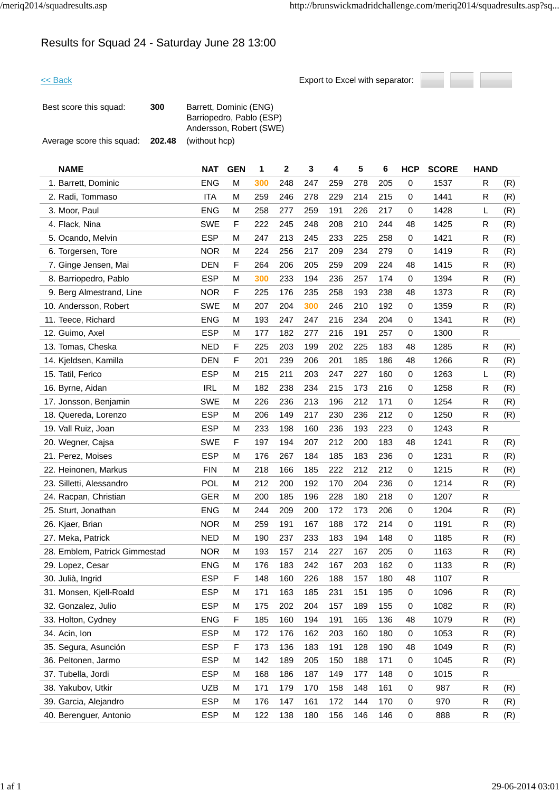## Results for Squad 24 - Saturday June 28 13:00



| Best score this squad:    | 300    | Barrett, Dominic (ENG)<br>Barriopedro, Pablo (ESP)<br>Andersson, Robert (SWE) |
|---------------------------|--------|-------------------------------------------------------------------------------|
| Average score this squad: | 202.48 | (without hcp)                                                                 |

| <b>NAME</b>                   | <b>NAT</b> | <b>GEN</b>  | 1   | $\mathbf 2$ | 3   | 4   | 5   | 6   | <b>HCP</b> | <b>SCORE</b> | <b>HAND</b> |     |
|-------------------------------|------------|-------------|-----|-------------|-----|-----|-----|-----|------------|--------------|-------------|-----|
| 1. Barrett, Dominic           | <b>ENG</b> | M           | 300 | 248         | 247 | 259 | 278 | 205 | 0          | 1537         | R           | (R) |
| 2. Radi, Tommaso              | <b>ITA</b> | M           | 259 | 246         | 278 | 229 | 214 | 215 | 0          | 1441         | R           | (R) |
| 3. Moor, Paul                 | <b>ENG</b> | M           | 258 | 277         | 259 | 191 | 226 | 217 | 0          | 1428         | L           | (R) |
| 4. Flack, Nina                | <b>SWE</b> | F           | 222 | 245         | 248 | 208 | 210 | 244 | 48         | 1425         | R           | (R) |
| 5. Ocando, Melvin             | <b>ESP</b> | M           | 247 | 213         | 245 | 233 | 225 | 258 | 0          | 1421         | R           | (R) |
| 6. Torgersen, Tore            | <b>NOR</b> | M           | 224 | 256         | 217 | 209 | 234 | 279 | 0          | 1419         | R           | (R) |
| 7. Ginge Jensen, Mai          | <b>DEN</b> | F           | 264 | 206         | 205 | 259 | 209 | 224 | 48         | 1415         | R           | (R) |
| 8. Barriopedro, Pablo         | <b>ESP</b> | M           | 300 | 233         | 194 | 236 | 257 | 174 | 0          | 1394         | R           | (R) |
| 9. Berg Almestrand, Line      | <b>NOR</b> | $\mathsf F$ | 225 | 176         | 235 | 258 | 193 | 238 | 48         | 1373         | R           | (R) |
| 10. Andersson, Robert         | <b>SWE</b> | M           | 207 | 204         | 300 | 246 | 210 | 192 | 0          | 1359         | R           | (R) |
| 11. Teece, Richard            | <b>ENG</b> | M           | 193 | 247         | 247 | 216 | 234 | 204 | 0          | 1341         | R           | (R) |
| 12. Guimo, Axel               | <b>ESP</b> | M           | 177 | 182         | 277 | 216 | 191 | 257 | 0          | 1300         | ${\sf R}$   |     |
| 13. Tomas, Cheska             | <b>NED</b> | F           | 225 | 203         | 199 | 202 | 225 | 183 | 48         | 1285         | R           | (R) |
| 14. Kjeldsen, Kamilla         | <b>DEN</b> | $\mathsf F$ | 201 | 239         | 206 | 201 | 185 | 186 | 48         | 1266         | R           | (R) |
| 15. Tatil, Ferico             | <b>ESP</b> | M           | 215 | 211         | 203 | 247 | 227 | 160 | 0          | 1263         | L           | (R) |
| 16. Byrne, Aidan              | <b>IRL</b> | M           | 182 | 238         | 234 | 215 | 173 | 216 | 0          | 1258         | R           | (R) |
| 17. Jonsson, Benjamin         | <b>SWE</b> | M           | 226 | 236         | 213 | 196 | 212 | 171 | 0          | 1254         | R           | (R) |
| 18. Quereda, Lorenzo          | <b>ESP</b> | M           | 206 | 149         | 217 | 230 | 236 | 212 | 0          | 1250         | R           | (R) |
| 19. Vall Ruiz, Joan           | <b>ESP</b> | M           | 233 | 198         | 160 | 236 | 193 | 223 | 0          | 1243         | R           |     |
| 20. Wegner, Cajsa             | <b>SWE</b> | $\mathsf F$ | 197 | 194         | 207 | 212 | 200 | 183 | 48         | 1241         | R           | (R) |
| 21. Perez, Moises             | <b>ESP</b> | M           | 176 | 267         | 184 | 185 | 183 | 236 | 0          | 1231         | R           | (R) |
| 22. Heinonen, Markus          | <b>FIN</b> | M           | 218 | 166         | 185 | 222 | 212 | 212 | 0          | 1215         | R           | (R) |
| 23. Silletti, Alessandro      | <b>POL</b> | M           | 212 | 200         | 192 | 170 | 204 | 236 | 0          | 1214         | R           | (R) |
| 24. Racpan, Christian         | <b>GER</b> | M           | 200 | 185         | 196 | 228 | 180 | 218 | 0          | 1207         | R           |     |
| 25. Sturt, Jonathan           | <b>ENG</b> | M           | 244 | 209         | 200 | 172 | 173 | 206 | 0          | 1204         | R           | (R) |
| 26. Kjaer, Brian              | <b>NOR</b> | M           | 259 | 191         | 167 | 188 | 172 | 214 | 0          | 1191         | R           | (R) |
| 27. Meka, Patrick             | <b>NED</b> | M           | 190 | 237         | 233 | 183 | 194 | 148 | 0          | 1185         | R           | (R) |
| 28. Emblem, Patrick Gimmestad | <b>NOR</b> | M           | 193 | 157         | 214 | 227 | 167 | 205 | 0          | 1163         | R           | (R) |
| 29. Lopez, Cesar              | <b>ENG</b> | M           | 176 | 183         | 242 | 167 | 203 | 162 | 0          | 1133         | ${\sf R}$   | (R) |
| 30. Julià, Ingrid             | <b>ESP</b> | F           | 148 | 160         | 226 | 188 | 157 | 180 | 48         | 1107         | R           |     |
| 31. Monsen, Kjell-Roald       | <b>ESP</b> | M           | 171 | 163         | 185 | 231 | 151 | 195 | 0          | 1096         | ${\sf R}$   | (R) |
| 32. Gonzalez, Julio           | <b>ESP</b> | M           | 175 | 202         | 204 | 157 | 189 | 155 | 0          | 1082         | R           | (R) |
| 33. Holton, Cydney            | <b>ENG</b> | $\mathsf F$ | 185 | 160         | 194 | 191 | 165 | 136 | 48         | 1079         | $\mathsf R$ | (R) |
| 34. Acin, Ion                 | <b>ESP</b> | М           | 172 | 176         | 162 | 203 | 160 | 180 | 0          | 1053         | R           | (R) |
| 35. Segura, Asunción          | <b>ESP</b> | F           | 173 | 136         | 183 | 191 | 128 | 190 | 48         | 1049         | R           | (R) |
| 36. Peltonen, Jarmo           | <b>ESP</b> | M           | 142 | 189         | 205 | 150 | 188 | 171 | 0          | 1045         | R           | (R) |
| 37. Tubella, Jordi            | <b>ESP</b> | M           | 168 | 186         | 187 | 149 | 177 | 148 | 0          | 1015         | R           |     |
| 38. Yakubov, Utkir            | <b>UZB</b> | M           | 171 | 179         | 170 | 158 | 148 | 161 | 0          | 987          | R           | (R) |
| 39. Garcia, Alejandro         | <b>ESP</b> | M           | 176 | 147         | 161 | 172 | 144 | 170 | 0          | 970          | R           | (R) |
| 40. Berenguer, Antonio        | <b>ESP</b> | М           | 122 | 138         | 180 | 156 | 146 | 146 | 0          | 888          | $\mathsf R$ | (R) |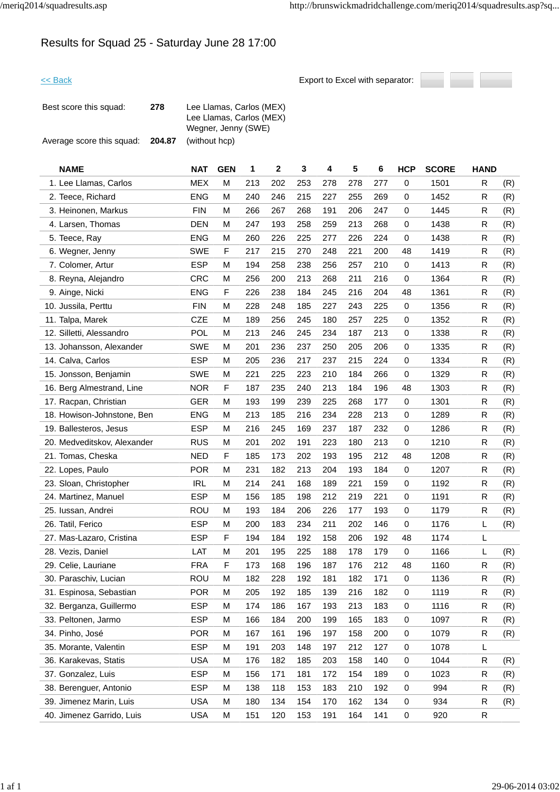## Results for Squad 25 - Saturday June 28 17:00

| Best score this squad:    | 278    | Lee Llamas, Carlos (MEX)<br>Lee Llamas, Carlos (MEX)<br>Wegner, Jenny (SWE) |
|---------------------------|--------|-----------------------------------------------------------------------------|
| Average score this squad: | 204.87 | (without hcp)                                                               |

| <b>NAME</b>                 | <b>NAT</b> | <b>GEN</b> | 1   | $\overline{2}$ | 3   | 4   | 5   | 6   | <b>HCP</b> | <b>SCORE</b> | <b>HAND</b> |     |
|-----------------------------|------------|------------|-----|----------------|-----|-----|-----|-----|------------|--------------|-------------|-----|
| 1. Lee Llamas, Carlos       | <b>MEX</b> | м          | 213 | 202            | 253 | 278 | 278 | 277 | 0          | 1501         | R           | (R) |
| 2. Teece, Richard           | <b>ENG</b> | М          | 240 | 246            | 215 | 227 | 255 | 269 | 0          | 1452         | R           | (R) |
| 3. Heinonen, Markus         | <b>FIN</b> | М          | 266 | 267            | 268 | 191 | 206 | 247 | 0          | 1445         | R           | (R) |
| 4. Larsen, Thomas           | <b>DEN</b> | М          | 247 | 193            | 258 | 259 | 213 | 268 | 0          | 1438         | R           | (R) |
| 5. Teece, Ray               | <b>ENG</b> | М          | 260 | 226            | 225 | 277 | 226 | 224 | 0          | 1438         | R           | (R) |
| 6. Wegner, Jenny            | <b>SWE</b> | F          | 217 | 215            | 270 | 248 | 221 | 200 | 48         | 1419         | R           | (R) |
| 7. Colomer, Artur           | <b>ESP</b> | м          | 194 | 258            | 238 | 256 | 257 | 210 | 0          | 1413         | R           | (R) |
| 8. Reyna, Alejandro         | <b>CRC</b> | М          | 256 | 200            | 213 | 268 | 211 | 216 | 0          | 1364         | R           | (R) |
| 9. Ainge, Nicki             | <b>ENG</b> | F          | 226 | 238            | 184 | 245 | 216 | 204 | 48         | 1361         | R           | (R) |
| 10. Jussila, Perttu         | <b>FIN</b> | М          | 228 | 248            | 185 | 227 | 243 | 225 | 0          | 1356         | R           | (R) |
| 11. Talpa, Marek            | <b>CZE</b> | М          | 189 | 256            | 245 | 180 | 257 | 225 | 0          | 1352         | R           | (R) |
| 12. Silletti, Alessandro    | <b>POL</b> | м          | 213 | 246            | 245 | 234 | 187 | 213 | 0          | 1338         | R           | (R) |
| 13. Johansson, Alexander    | <b>SWE</b> | м          | 201 | 236            | 237 | 250 | 205 | 206 | 0          | 1335         | R           | (R) |
| 14. Calva, Carlos           | <b>ESP</b> | М          | 205 | 236            | 217 | 237 | 215 | 224 | 0          | 1334         | R           | (R) |
| 15. Jonsson, Benjamin       | <b>SWE</b> | М          | 221 | 225            | 223 | 210 | 184 | 266 | 0          | 1329         | R           | (R) |
| 16. Berg Almestrand, Line   | <b>NOR</b> | F          | 187 | 235            | 240 | 213 | 184 | 196 | 48         | 1303         | R           | (R) |
| 17. Racpan, Christian       | <b>GER</b> | М          | 193 | 199            | 239 | 225 | 268 | 177 | 0          | 1301         | R           | (R) |
| 18. Howison-Johnstone, Ben  | <b>ENG</b> | м          | 213 | 185            | 216 | 234 | 228 | 213 | 0          | 1289         | R           | (R) |
| 19. Ballesteros, Jesus      | <b>ESP</b> | м          | 216 | 245            | 169 | 237 | 187 | 232 | 0          | 1286         | R           | (R) |
| 20. Medveditskov, Alexander | <b>RUS</b> | м          | 201 | 202            | 191 | 223 | 180 | 213 | 0          | 1210         | R           | (R) |
| 21. Tomas, Cheska           | <b>NED</b> | F          | 185 | 173            | 202 | 193 | 195 | 212 | 48         | 1208         | R           | (R) |
| 22. Lopes, Paulo            | <b>POR</b> | M          | 231 | 182            | 213 | 204 | 193 | 184 | 0          | 1207         | R           | (R) |
| 23. Sloan, Christopher      | <b>IRL</b> | M          | 214 | 241            | 168 | 189 | 221 | 159 | 0          | 1192         | R           | (R) |
| 24. Martinez, Manuel        | <b>ESP</b> | м          | 156 | 185            | 198 | 212 | 219 | 221 | 0          | 1191         | R           | (R) |
| 25. Iussan, Andrei          | ROU        | М          | 193 | 184            | 206 | 226 | 177 | 193 | 0          | 1179         | R           | (R) |
| 26. Tatil, Ferico           | <b>ESP</b> | м          | 200 | 183            | 234 | 211 | 202 | 146 | 0          | 1176         | L           | (R) |
| 27. Mas-Lazaro, Cristina    | <b>ESP</b> | F          | 194 | 184            | 192 | 158 | 206 | 192 | 48         | 1174         | L           |     |
| 28. Vezis, Daniel           | LAT        | M          | 201 | 195            | 225 | 188 | 178 | 179 | 0          | 1166         | L           | (R) |
| 29. Celie, Lauriane         | <b>FRA</b> | F          | 173 | 168            | 196 | 187 | 176 | 212 | 48         | 1160         | R           | (R) |
| 30. Paraschiv, Lucian       | ROU        | M          | 182 | 228            | 192 | 181 | 182 | 171 | 0          | 1136         | R           | (R) |
| 31. Espinosa, Sebastian     | <b>POR</b> | M          | 205 | 192            | 185 | 139 | 216 | 182 | 0          | 1119         | R           | (R) |
| 32. Berganza, Guillermo     | <b>ESP</b> | М          | 174 | 186            | 167 | 193 | 213 | 183 | 0          | 1116         | R           | (R) |
| 33. Peltonen, Jarmo         | <b>ESP</b> | M          | 166 | 184            | 200 | 199 | 165 | 183 | 0          | 1097         | R           | (R) |
| 34. Pinho, José             | <b>POR</b> | М          | 167 | 161            | 196 | 197 | 158 | 200 | 0          | 1079         | R           | (R) |
| 35. Morante, Valentin       | <b>ESP</b> | M          | 191 | 203            | 148 | 197 | 212 | 127 | 0          | 1078         | L           |     |
| 36. Karakevas, Statis       | <b>USA</b> | M          | 176 | 182            | 185 | 203 | 158 | 140 | 0          | 1044         | R           | (R) |
| 37. Gonzalez, Luis          | <b>ESP</b> | Μ          | 156 | 171            | 181 | 172 | 154 | 189 | 0          | 1023         | R           | (R) |
| 38. Berenguer, Antonio      | <b>ESP</b> | M          | 138 | 118            | 153 | 183 | 210 | 192 | 0          | 994          | R           | (R) |
| 39. Jimenez Marin, Luis     | USA        | М          | 180 | 134            | 154 | 170 | 162 | 134 | 0          | 934          | R           | (R) |
| 40. Jimenez Garrido, Luis   | <b>USA</b> | M          | 151 | 120            | 153 | 191 | 164 | 141 | 0          | 920          | R           |     |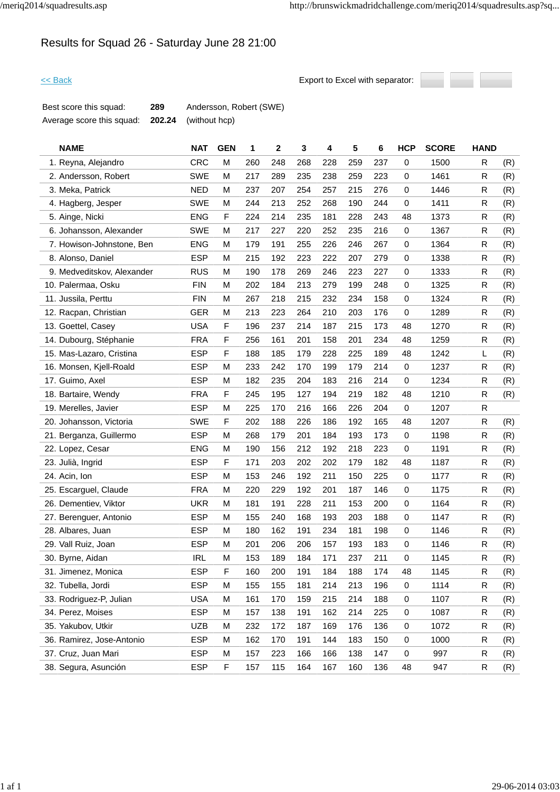# Results for Squad 26 - Saturday June 28 21:00



| Best score this squad:    | 289 | Andersson, Robert (SWE)     |
|---------------------------|-----|-----------------------------|
| Average score this squad: |     | <b>202.24</b> (without hcp) |

| <b>NAME</b>                | <b>NAT</b> | <b>GEN</b> | 1   | $\overline{2}$ | 3   | 4   | 5   | 6   | <b>HCP</b>  | <b>SCORE</b> | <b>HAND</b> |     |
|----------------------------|------------|------------|-----|----------------|-----|-----|-----|-----|-------------|--------------|-------------|-----|
| 1. Reyna, Alejandro        | <b>CRC</b> | M          | 260 | 248            | 268 | 228 | 259 | 237 | 0           | 1500         | R           | (R) |
| 2. Andersson, Robert       | <b>SWE</b> | М          | 217 | 289            | 235 | 238 | 259 | 223 | $\mathbf 0$ | 1461         | ${\sf R}$   | (R) |
| 3. Meka, Patrick           | <b>NED</b> | М          | 237 | 207            | 254 | 257 | 215 | 276 | $\mathbf 0$ | 1446         | R           | (R) |
| 4. Hagberg, Jesper         | <b>SWE</b> | м          | 244 | 213            | 252 | 268 | 190 | 244 | 0           | 1411         | R           | (R) |
| 5. Ainge, Nicki            | <b>ENG</b> | F          | 224 | 214            | 235 | 181 | 228 | 243 | 48          | 1373         | R           | (R) |
| 6. Johansson, Alexander    | <b>SWE</b> | м          | 217 | 227            | 220 | 252 | 235 | 216 | 0           | 1367         | R           | (R) |
| 7. Howison-Johnstone, Ben  | <b>ENG</b> | М          | 179 | 191            | 255 | 226 | 246 | 267 | 0           | 1364         | R.          | (R) |
| 8. Alonso, Daniel          | <b>ESP</b> | М          | 215 | 192            | 223 | 222 | 207 | 279 | 0           | 1338         | R           | (R) |
| 9. Medveditskov, Alexander | <b>RUS</b> | м          | 190 | 178            | 269 | 246 | 223 | 227 | $\mathbf 0$ | 1333         | R           | (R) |
| 10. Palermaa, Osku         | <b>FIN</b> | М          | 202 | 184            | 213 | 279 | 199 | 248 | 0           | 1325         | R           | (R) |
| 11. Jussila, Perttu        | <b>FIN</b> | М          | 267 | 218            | 215 | 232 | 234 | 158 | 0           | 1324         | R           | (R) |
| 12. Racpan, Christian      | <b>GER</b> | М          | 213 | 223            | 264 | 210 | 203 | 176 | $\mathbf 0$ | 1289         | R           | (R) |
| 13. Goettel, Casey         | <b>USA</b> | F          | 196 | 237            | 214 | 187 | 215 | 173 | 48          | 1270         | R           | (R) |
| 14. Dubourg, Stéphanie     | <b>FRA</b> | F          | 256 | 161            | 201 | 158 | 201 | 234 | 48          | 1259         | ${\sf R}$   | (R) |
| 15. Mas-Lazaro, Cristina   | <b>ESP</b> | F          | 188 | 185            | 179 | 228 | 225 | 189 | 48          | 1242         | L           | (R) |
| 16. Monsen, Kjell-Roald    | <b>ESP</b> | M          | 233 | 242            | 170 | 199 | 179 | 214 | 0           | 1237         | R           | (R) |
| 17. Guimo, Axel            | <b>ESP</b> | м          | 182 | 235            | 204 | 183 | 216 | 214 | $\mathbf 0$ | 1234         | R           | (R) |
| 18. Bartaire, Wendy        | <b>FRA</b> | F          | 245 | 195            | 127 | 194 | 219 | 182 | 48          | 1210         | R           | (R) |
| 19. Merelles, Javier       | <b>ESP</b> | М          | 225 | 170            | 216 | 166 | 226 | 204 | $\mathbf 0$ | 1207         | R.          |     |
| 20. Johansson, Victoria    | <b>SWE</b> | F          | 202 | 188            | 226 | 186 | 192 | 165 | 48          | 1207         | R           | (R) |
| 21. Berganza, Guillermo    | <b>ESP</b> | M          | 268 | 179            | 201 | 184 | 193 | 173 | 0           | 1198         | R           | (R) |
| 22. Lopez, Cesar           | <b>ENG</b> | M          | 190 | 156            | 212 | 192 | 218 | 223 | 0           | 1191         | R           | (R) |
| 23. Julià, Ingrid          | <b>ESP</b> | F          | 171 | 203            | 202 | 202 | 179 | 182 | 48          | 1187         | R           | (R) |
| 24. Acin, Ion              | <b>ESP</b> | М          | 153 | 246            | 192 | 211 | 150 | 225 | $\mathbf 0$ | 1177         | R           | (R) |
| 25. Escarguel, Claude      | <b>FRA</b> | м          | 220 | 229            | 192 | 201 | 187 | 146 | 0           | 1175         | R           | (R) |
| 26. Dementiev, Viktor      | <b>UKR</b> | M          | 181 | 191            | 228 | 211 | 153 | 200 | $\mathbf 0$ | 1164         | R           | (R) |
| 27. Berenguer, Antonio     | <b>ESP</b> | М          | 155 | 240            | 168 | 193 | 203 | 188 | $\mathbf 0$ | 1147         | R           | (R) |
| 28. Albares, Juan          | <b>ESP</b> | M          | 180 | 162            | 191 | 234 | 181 | 198 | 0           | 1146         | R           | (R) |
| 29. Vall Ruiz, Joan        | <b>ESP</b> | м          | 201 | 206            | 206 | 157 | 193 | 183 | 0           | 1146         | R           | (R) |
| 30. Byrne, Aidan           | <b>IRL</b> | м          | 153 | 189            | 184 | 171 | 237 | 211 | $\mathbf 0$ | 1145         | R           | (R) |
| 31. Jimenez, Monica        | <b>ESP</b> | F          | 160 | 200            | 191 | 184 | 188 | 174 | 48          | 1145         | R           | (R) |
| 32. Tubella, Jordi         | <b>ESP</b> | M          | 155 | 155            | 181 | 214 | 213 | 196 | 0           | 1114         | R           | (R) |
| 33. Rodriguez-P, Julian    | <b>USA</b> | M          | 161 | 170            | 159 | 215 | 214 | 188 | 0           | 1107         | R           | (R) |
| 34. Perez, Moises          | <b>ESP</b> | M          | 157 | 138            | 191 | 162 | 214 | 225 | 0           | 1087         | R           | (R) |
| 35. Yakubov, Utkir         | <b>UZB</b> | М          | 232 | 172            | 187 | 169 | 176 | 136 | 0           | 1072         | R           | (R) |
| 36. Ramirez, Jose-Antonio  | <b>ESP</b> | м          | 162 | 170            | 191 | 144 | 183 | 150 | 0           | 1000         | R           | (R) |
| 37. Cruz, Juan Mari        | <b>ESP</b> | м          | 157 | 223            | 166 | 166 | 138 | 147 | 0           | 997          | R           | (R) |
| 38. Segura, Asunción       | <b>ESP</b> | F          | 157 | 115            | 164 | 167 | 160 | 136 | 48          | 947          | R           | (R) |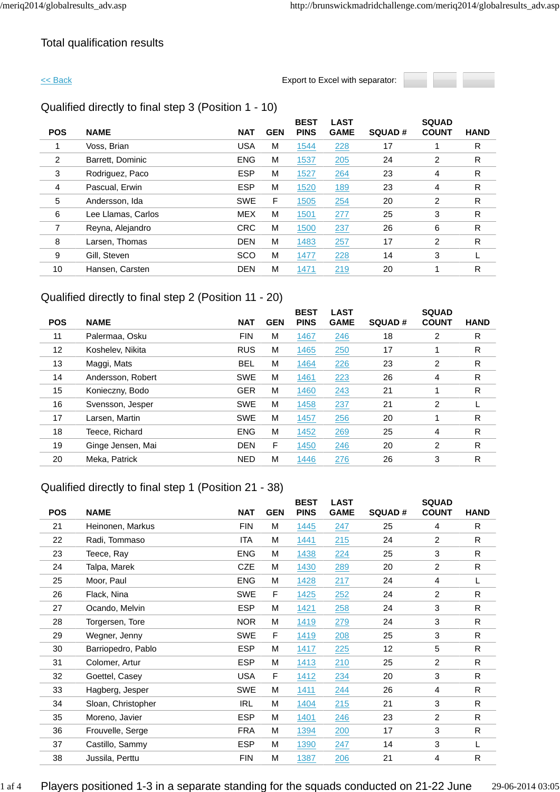### Total qualification results

<< Back Export to Excel with separator:



### Qualified directly to final step 3 (Position 1 - 10)

|            |                    |            |            | <b>BEST</b> | <b>LAST</b> |               | <b>SQUAD</b> |             |
|------------|--------------------|------------|------------|-------------|-------------|---------------|--------------|-------------|
| <b>POS</b> | <b>NAME</b>        | <b>NAT</b> | <b>GEN</b> | <b>PINS</b> | <b>GAME</b> | <b>SQUAD#</b> | <b>COUNT</b> | <b>HAND</b> |
|            | Voss, Brian        | <b>USA</b> | M          | 1544        | 228         | 17            |              | R           |
| 2          | Barrett, Dominic   | <b>ENG</b> | M          | 1537        | 205         | 24            | 2            | R           |
| 3          | Rodriguez, Paco    | <b>ESP</b> | M          | 1527        | 264         | 23            | 4            | R           |
| 4          | Pascual, Erwin     | <b>ESP</b> | M          | 1520        | 189         | 23            | 4            | R           |
| 5          | Andersson, Ida     | <b>SWE</b> | F          | 1505        | 254         | 20            | 2            | R           |
| 6          | Lee Llamas, Carlos | <b>MEX</b> | M          | 1501        | 277         | 25            | 3            | R           |
|            | Reyna, Alejandro   | <b>CRC</b> | M          | 1500        | 237         | 26            | 6            | R           |
| 8          | Larsen, Thomas     | <b>DEN</b> | M          | 1483        | 257         | 17            | 2            | R           |
| 9          | Gill, Steven       | <b>SCO</b> | M          | 1477        | 228         | 14            | 3            |             |
| 10         | Hansen, Carsten    | <b>DEN</b> | M          | 1471        | 219         | 20            |              | R           |
|            |                    |            |            |             |             |               |              |             |

### Qualified directly to final step 2 (Position 11 - 20)

|            |                   |            |            | <b>BEST</b> | <b>LAST</b> |               | <b>SQUAD</b> |             |
|------------|-------------------|------------|------------|-------------|-------------|---------------|--------------|-------------|
| <b>POS</b> | <b>NAME</b>       | <b>NAT</b> | <b>GEN</b> | <b>PINS</b> | <b>GAME</b> | <b>SQUAD#</b> | <b>COUNT</b> | <b>HAND</b> |
| 11         | Palermaa, Osku    | <b>FIN</b> | M          | 1467        | 246         | 18            | 2            | R           |
| 12         | Koshelev, Nikita  | <b>RUS</b> | M          | 1465        | 250         | 17            |              | R           |
| 13         | Maggi, Mats       | <b>BEL</b> | M          | 1464        | 226         | 23            | 2            | R           |
| 14         | Andersson, Robert | <b>SWE</b> | M          | 1461        | 223         | 26            | 4            | R           |
| 15         | Konieczny, Bodo   | <b>GER</b> | M          | 1460        | 243         | 21            |              | R           |
| 16         | Svensson, Jesper  | <b>SWE</b> | M          | 1458        | 237         | 21            | 2            |             |
| 17         | Larsen, Martin    | <b>SWE</b> | M          | 1457        | 256         | 20            |              | R           |
| 18         | Teece, Richard    | <b>ENG</b> | M          | 1452        | 269         | 25            | 4            | R           |
| 19         | Ginge Jensen, Mai | <b>DEN</b> | F          | 1450        | 246         | 20            | 2            | R           |
| 20         | Meka, Patrick     | <b>NED</b> | M          | 1446        | 276         | 26            | 3            | R           |
|            |                   |            |            |             |             |               |              |             |

### Qualified directly to final step 1 (Position 21 - 38)

|            |                    |            |            | <b>BEST</b> | <b>LAST</b> |                 | <b>SQUAD</b>   |              |
|------------|--------------------|------------|------------|-------------|-------------|-----------------|----------------|--------------|
| <b>POS</b> | <b>NAME</b>        | <b>NAT</b> | <b>GEN</b> | <b>PINS</b> | <b>GAME</b> | <b>SQUAD#</b>   | <b>COUNT</b>   | <b>HAND</b>  |
| 21         | Heinonen, Markus   | <b>FIN</b> | M          | 1445        | 247         | 25              | 4              | R            |
| 22         | Radi, Tommaso      | <b>ITA</b> | M          | 1441        | 215         | 24              | 2              | $\mathsf{R}$ |
| 23         | Teece, Ray         | <b>ENG</b> | M          | 1438        | 224         | 25              | 3              | $\mathsf{R}$ |
| 24         | Talpa, Marek       | <b>CZE</b> | M          | 1430        | 289         | 20              | 2              | $\mathsf{R}$ |
| 25         | Moor, Paul         | <b>ENG</b> | м          | 1428        | 217         | 24              | 4              | L            |
| 26         | Flack, Nina        | <b>SWE</b> | F          | 1425        | 252         | 24              | $\overline{2}$ | $\mathsf{R}$ |
| 27         | Ocando, Melvin     | <b>ESP</b> | м          | 1421        | 258         | 24              | 3              | $\mathsf{R}$ |
| 28         | Torgersen, Tore    | <b>NOR</b> | M          | 1419        | 279         | 24              | 3              | R            |
| 29         | Wegner, Jenny      | <b>SWE</b> | F          | 1419        | 208         | 25              | 3              | R            |
| 30         | Barriopedro, Pablo | <b>ESP</b> | M          | 1417        | 225         | 12 <sub>2</sub> | 5              | R            |
| 31         | Colomer, Artur     | <b>ESP</b> | M          | 1413        | 210         | 25              | 2              | R            |
| 32         | Goettel, Casey     | <b>USA</b> | F          | 1412        | 234         | 20              | 3              | ${\sf R}$    |
| 33         | Hagberg, Jesper    | <b>SWE</b> | м          | 1411        | 244         | 26              | 4              | R            |
| 34         | Sloan, Christopher | <b>IRL</b> | M          | 1404        | 215         | 21              | 3              | $\mathsf{R}$ |
| 35         | Moreno, Javier     | <b>ESP</b> | м          | 1401        | 246         | 23              | 2              | R            |
| 36         | Frouvelle, Serge   | <b>FRA</b> | м          | 1394        | 200         | 17              | 3              | ${\sf R}$    |
| 37         | Castillo, Sammy    | <b>ESP</b> | м          | 1390        | 247         | 14              | 3              | L            |
| 38         | Jussila, Perttu    | <b>FIN</b> | M          | 1387        | 206         | 21              | 4              | ${\sf R}$    |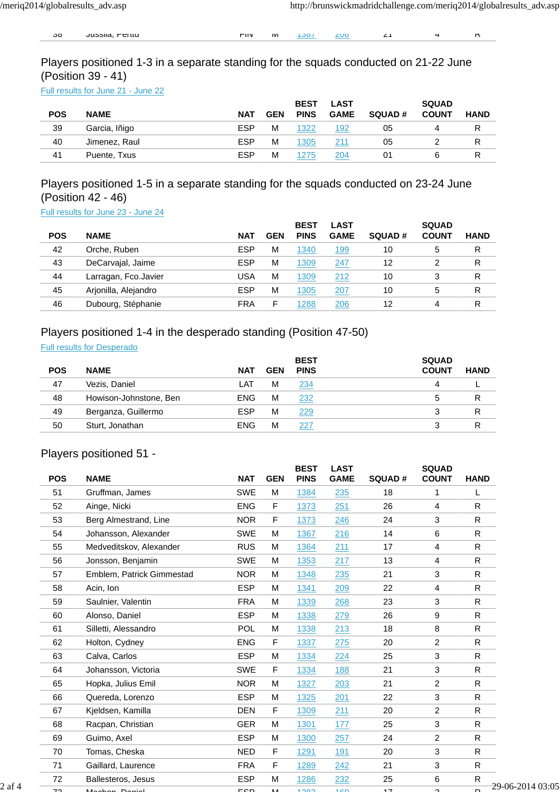30 Jussila, Pertitu FIN M 1387 200 21 4 R

Players positioned 1-3 in a separate standing for the squads conducted on 21-22 June (Position 39 - 41)

Full results for June 21 - June 22

|            |               |            |            | <b>BEST</b> | <b>LAST</b> |               | <b>SQUAD</b> |             |
|------------|---------------|------------|------------|-------------|-------------|---------------|--------------|-------------|
| <b>POS</b> | <b>NAME</b>   | <b>NAT</b> | <b>GEN</b> | <b>PINS</b> | <b>GAME</b> | <b>SQUAD#</b> | <b>COUNT</b> | <b>HAND</b> |
| 39         | Garcia, Iñigo | <b>ESP</b> | M          | 1322        | 192         | 05            |              |             |
| 40         | Jimenez, Raul | <b>ESP</b> | M          | 1305        | 211         | 05            |              |             |
| 41         | Puente, Txus  | <b>ESP</b> | M          | 1275        | 204         | 01            |              |             |

### Players positioned 1-5 in a separate standing for the squads conducted on 23-24 June (Position 42 - 46)

Full results for June 23 - June 24

|            |                      |            |            | <b>BEST</b> | LAST        |               | <b>SQUAD</b> |             |
|------------|----------------------|------------|------------|-------------|-------------|---------------|--------------|-------------|
| <b>POS</b> | <b>NAME</b>          | <b>NAT</b> | <b>GEN</b> | <b>PINS</b> | <b>GAME</b> | <b>SQUAD#</b> | <b>COUNT</b> | <b>HAND</b> |
| 42         | Orche, Ruben         | <b>ESP</b> | M          | 1340        | 199         | 10            | 5            | R           |
| 43         | DeCarvajal, Jaime    | <b>ESP</b> | M          | 1309        | 247         | 12            |              | R           |
| 44         | Larragan, Fco.Javier | USA        | M          | 1309        | 212         | 10            | 3            | R           |
| 45         | Arjonilla, Alejandro | <b>ESP</b> | M          | 1305        | 207         | 10            | 5            | R           |
| 46         | Dubourg, Stéphanie   | <b>FRA</b> | F          | 288         | 206         | 12            | 4            | R           |

### Players positioned 1-4 in the desperado standing (Position 47-50)

Full results for Desperado

| <b>POS</b> | <b>NAME</b>            | <b>NAT</b> | <b>GEN</b> | <b>BEST</b><br><b>PINS</b> | <b>SQUAD</b><br><b>COUNT</b> | <b>HAND</b> |
|------------|------------------------|------------|------------|----------------------------|------------------------------|-------------|
|            |                        |            |            |                            |                              |             |
| 47         | Vezis. Daniel          | LAT        | м          | 234                        |                              |             |
| 48         | Howison-Johnstone, Ben | <b>ENG</b> | м          | 232                        | 5                            | R           |
| 49         | Berganza, Guillermo    | <b>ESP</b> | M          | 229                        |                              | R           |
| 50         | Sturt, Jonathan        | <b>ENG</b> | M          | 227                        |                              |             |

### Players positioned 51 -

|        | <b>POS</b> | <b>NAME</b>               | <b>NAT</b> | <b>GEN</b> | <b>BEST</b><br><b>PINS</b> | <b>LAST</b><br><b>GAME</b> | <b>SQUAD#</b> | <b>SQUAD</b><br><b>COUNT</b> | <b>HAND</b>  |                  |
|--------|------------|---------------------------|------------|------------|----------------------------|----------------------------|---------------|------------------------------|--------------|------------------|
|        | 51         | Gruffman, James           | <b>SWE</b> | M          | 1384                       | 235                        | 18            | 1                            | L            |                  |
|        | 52         | Ainge, Nicki              | <b>ENG</b> | F          | 1373                       | 251                        | 26            | 4                            | R            |                  |
|        | 53         | Berg Almestrand, Line     | <b>NOR</b> | F          | 1373                       | 246                        | 24            | 3                            | R            |                  |
|        | 54         | Johansson, Alexander      | SWE        | M          | 1367                       | 216                        | 14            | 6                            | R            |                  |
|        | 55         | Medveditskov, Alexander   | <b>RUS</b> | M          | 1364                       | 211                        | 17            | 4                            | $\mathsf{R}$ |                  |
|        | 56         | Jonsson, Benjamin         | SWE        | M          | 1353                       | 217                        | 13            | 4                            | $\mathsf R$  |                  |
|        | 57         | Emblem, Patrick Gimmestad | <b>NOR</b> | M          | 1348                       | 235                        | 21            | 3                            | $\mathsf{R}$ |                  |
|        | 58         | Acin, Ion                 | <b>ESP</b> | M          | 1341                       | 209                        | 22            | 4                            | ${\sf R}$    |                  |
|        | 59         | Saulnier, Valentin        | <b>FRA</b> | M          | 1339                       | 268                        | 23            | 3                            | $\mathsf{R}$ |                  |
|        | 60         | Alonso, Daniel            | <b>ESP</b> | M          | 1338                       | 279                        | 26            | 9                            | $\mathsf R$  |                  |
|        | 61         | Silletti, Alessandro      | <b>POL</b> | M          | 1338                       | 213                        | 18            | 8                            | $\mathsf{R}$ |                  |
|        | 62         | Holton, Cydney            | <b>ENG</b> | F          | 1337                       | 275                        | 20            | $\overline{c}$               | $\mathsf{R}$ |                  |
|        | 63         | Calva, Carlos             | <b>ESP</b> | M          | 1334                       | 224                        | 25            | 3                            | $\mathsf{R}$ |                  |
|        | 64         | Johansson, Victoria       | <b>SWE</b> | F.         | 1334                       | 188                        | 21            | 3                            | $\mathsf{R}$ |                  |
|        | 65         | Hopka, Julius Emil        | <b>NOR</b> | M          | 1327                       | 203                        | 21            | $\overline{c}$               | ${\sf R}$    |                  |
|        | 66         | Quereda, Lorenzo          | <b>ESP</b> | м          | 1325                       | 201                        | 22            | 3                            | R            |                  |
|        | 67         | Kjeldsen, Kamilla         | <b>DEN</b> | F          | 1309                       | 211                        | 20            | $\overline{c}$               | $\mathsf{R}$ |                  |
|        | 68         | Racpan, Christian         | <b>GER</b> | M          | 1301                       | 177                        | 25            | 3                            | R            |                  |
|        | 69         | Guimo, Axel               | <b>ESP</b> | M          | 1300                       | 257                        | 24            | 2                            | $\mathsf{R}$ |                  |
|        | 70         | Tomas, Cheska             | <b>NED</b> | F          | 1291                       | 191                        | 20            | 3                            | ${\sf R}$    |                  |
|        | 71         | Gaillard, Laurence        | <b>FRA</b> | F          | 1289                       | 242                        | 21            | 3                            | ${\sf R}$    |                  |
|        | 72         | Ballesteros, Jesus        | <b>ESP</b> | M          | 1286                       | 232                        | 25            | 6                            | $\mathsf{R}$ |                  |
| 2 af 4 | 70         | لمنعود دمولهما            | con        | <b>A</b>   | 1000                       | 100                        | 17            | $\sim$                       | D            | 29-06-2014 03:05 |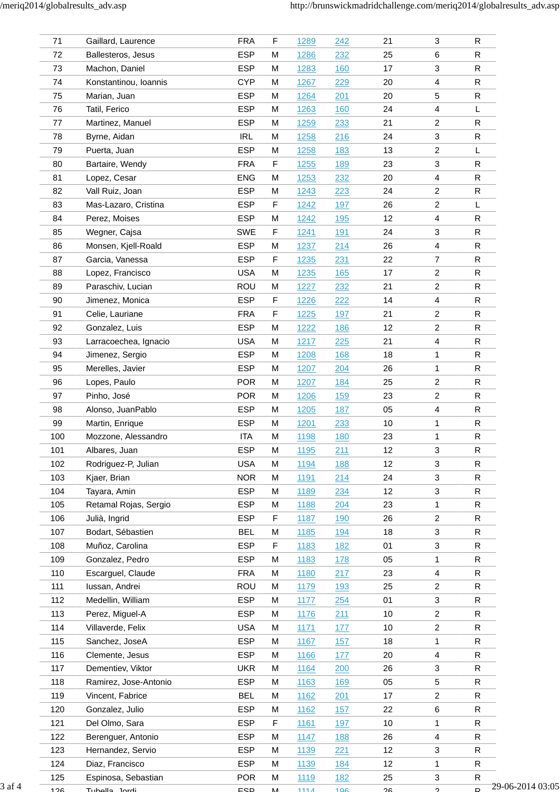| 71  | Gaillard, Laurence    | <b>FRA</b> | F           | 1289 | 242        | 21   | 3                       | ${\sf R}$              |
|-----|-----------------------|------------|-------------|------|------------|------|-------------------------|------------------------|
| 72  | Ballesteros, Jesus    | <b>ESP</b> | M           | 1286 | 232        | 25   | 6                       | R                      |
| 73  | Machon, Daniel        | <b>ESP</b> | M           | 1283 | 160        | 17   | 3                       | R                      |
| 74  | Konstantinou, Ioannis | <b>CYP</b> | M           | 1267 | 229        | 20   | 4                       | R                      |
| 75  | Marian, Juan          | <b>ESP</b> | M           | 1264 | 201        | 20   | 5                       | ${\sf R}$              |
| 76  | Tatil, Ferico         | <b>ESP</b> | M           | 1263 | <u>160</u> | 24   | 4                       | L                      |
| 77  | Martinez, Manuel      | <b>ESP</b> | M           | 1259 | 233        | 21   | $\overline{2}$          | $\mathsf R$            |
| 78  | Byrne, Aidan          | <b>IRL</b> | M           | 1258 | 216        | 24   | 3                       | $\mathsf{R}$           |
| 79  | Puerta, Juan          | <b>ESP</b> | M           | 1258 | 183        | 13   | $\overline{c}$          | L                      |
| 80  | Bartaire, Wendy       | <b>FRA</b> | F           | 1255 | 189        | 23   | 3                       | ${\sf R}$              |
| 81  | Lopez, Cesar          | <b>ENG</b> | M           |      |            |      | $\overline{4}$          | ${\sf R}$              |
|     |                       |            |             | 1253 | 232        | 20   |                         |                        |
| 82  | Vall Ruiz, Joan       | <b>ESP</b> | M           | 1243 | 223        | 24   | $\overline{2}$          | ${\sf R}$              |
| 83  | Mas-Lazaro, Cristina  | <b>ESP</b> | F           | 1242 | 197        | 26   | $\overline{\mathbf{c}}$ | L                      |
| 84  | Perez, Moises         | <b>ESP</b> | M           | 1242 | 195        | 12   | 4                       | R                      |
| 85  | Wegner, Cajsa         | SWE        | $\mathsf F$ | 1241 | 191        | 24   | 3                       | R                      |
| 86  | Monsen, Kjell-Roald   | <b>ESP</b> | M           | 1237 | 214        | 26   | $\overline{4}$          | R                      |
| 87  | Garcia, Vanessa       | <b>ESP</b> | F           | 1235 | 231        | 22   | $\overline{7}$          | ${\sf R}$              |
| 88  | Lopez, Francisco      | <b>USA</b> | M           | 1235 | 165        | 17   | $\overline{2}$          | R                      |
| 89  | Paraschiv, Lucian     | ROU        | M           | 1227 | 232        | 21   | $\overline{2}$          | R                      |
| 90  | Jimenez, Monica       | <b>ESP</b> | F           | 1226 | 222        | 14   | 4                       | R                      |
| 91  | Celie, Lauriane       | <b>FRA</b> | F           | 1225 | 197        | 21   | $\overline{c}$          | R                      |
| 92  | Gonzalez, Luis        | <b>ESP</b> | M           | 1222 | 186        | 12   | $\overline{\mathbf{c}}$ | R                      |
| 93  | Larracoechea, Ignacio | <b>USA</b> | M           | 1217 | 225        | 21   | $\overline{\mathbf{4}}$ | R                      |
| 94  | Jimenez, Sergio       | <b>ESP</b> | M           | 1208 | 168        | 18   | 1                       | $\mathsf R$            |
| 95  | Merelles, Javier      | <b>ESP</b> | M           | 1207 | 204        | 26   | 1                       | R                      |
| 96  | Lopes, Paulo          | <b>POR</b> | M           | 1207 | 184        | 25   | $\overline{2}$          | R                      |
| 97  | Pinho, José           | <b>POR</b> | M           | 1206 | 159        | 23   | $\overline{c}$          | R                      |
| 98  | Alonso, JuanPablo     | <b>ESP</b> | M           | 1205 | 187        | 05   | 4                       | R                      |
| 99  | Martin, Enrique       | <b>ESP</b> | M           | 1201 | 233        | $10$ | 1                       | ${\sf R}$              |
| 100 | Mozzone, Alessandro   | <b>ITA</b> | M           |      |            | 23   |                         | R                      |
|     |                       |            |             | 1198 | 180        |      | 1                       |                        |
| 101 | Albares, Juan         | <b>ESP</b> | M           | 1195 | 211        | 12   | 3                       | R                      |
| 102 | Rodriguez-P, Julian   | <b>USA</b> | M           | 1194 | 188        | 12   | 3                       | ${\sf R}$              |
| 103 | Kjaer, Brian          | <b>NOR</b> | M           | 1191 | 214        | 24   | $\mathbf{3}$            | R                      |
| 104 | Tayara, Amin          | <b>ESP</b> | M           | 1189 | 234        | 12   | 3                       | R                      |
| 105 | Retamal Rojas, Sergio | <b>ESP</b> | M           | 1188 | 204        | 23   | 1                       | R                      |
| 106 | Julià, Ingrid         | <b>ESP</b> | F           | 1187 | 190        | 26   | $\overline{2}$          | R                      |
| 107 | Bodart, Sébastien     | <b>BEL</b> | М           | 1185 | <u>194</u> | 18   | 3                       | R                      |
| 108 | Muñoz, Carolina       | <b>ESP</b> | F           | 1183 | 182        | 01   | 3                       | R                      |
| 109 | Gonzalez, Pedro       | <b>ESP</b> | M           | 1183 | 178        | 05   | 1                       | R                      |
| 110 | Escarguel, Claude     | <b>FRA</b> | M           | 1180 | 217        | 23   | 4                       | R                      |
| 111 | lussan, Andrei        | ROU        | М           | 1179 | <u>193</u> | 25   | $\overline{2}$          | ${\sf R}$              |
| 112 | Medellin, William     | <b>ESP</b> | M           | 1177 | 254        | 01   | $\mathbf{3}$            | R                      |
| 113 | Perez, Miguel-A       | <b>ESP</b> | M           | 1176 | 211        | 10   | $\overline{c}$          | R                      |
| 114 | Villaverde, Felix     | <b>USA</b> | M           | 1171 | 177        | 10   | 2                       | R                      |
| 115 | Sanchez, JoseA        | <b>ESP</b> | М           | 1167 | 157        | 18   | 1                       | R                      |
| 116 | Clemente, Jesus       | <b>ESP</b> | M           | 1166 | 177        | 20   | 4                       | R                      |
| 117 | Dementiev, Viktor     | <b>UKR</b> | M           | 1164 | 200        | 26   | $\mathbf{3}$            | R                      |
| 118 | Ramirez, Jose-Antonio | <b>ESP</b> | M           | 1163 | 169        | 05   | $\sqrt{5}$              | R                      |
| 119 | Vincent, Fabrice      | <b>BEL</b> | M           | 1162 | 201        | 17   | $\overline{2}$          | R                      |
| 120 | Gonzalez, Julio       | <b>ESP</b> | M           | 1162 | 157        | 22   | 6                       | R                      |
| 121 | Del Olmo, Sara        | <b>ESP</b> | F           | 1161 | 197        | $10$ | 1                       | R                      |
|     |                       |            |             |      |            |      |                         |                        |
| 122 | Berenguer, Antonio    | <b>ESP</b> | M           | 1147 | <u>188</u> | 26   | $\overline{4}$          | R                      |
| 123 | Hernandez, Servio     | <b>ESP</b> | М           | 1139 | 221        | 12   | 3                       | $\mathsf R$            |
| 124 | Diaz, Francisco       | <b>ESP</b> | M           | 1139 | 184        | 12   | 1                       | R                      |
| 125 | Espinosa, Sebastian   | <b>POR</b> | М           | 1119 | 182        | 25   | $\mathbf{3}$            | R.<br>29-06-2014 03:05 |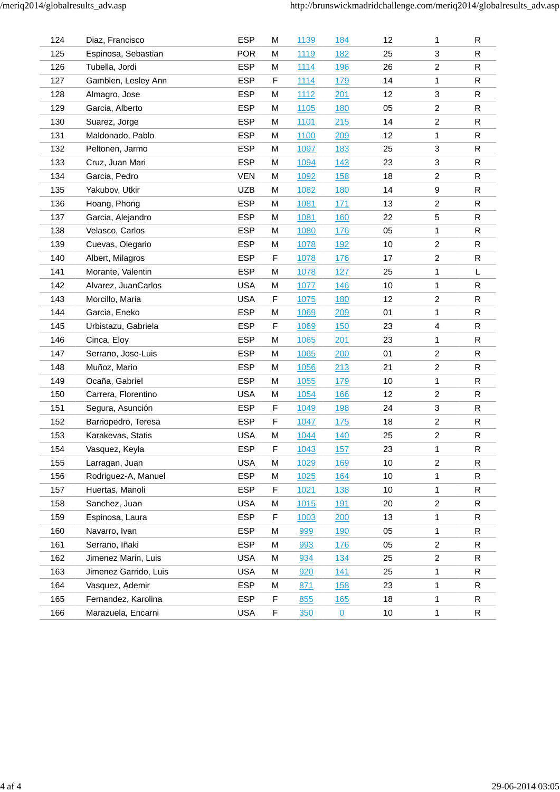| 124 | Diaz, Francisco       | <b>ESP</b> | M | 1139        | 184            | 12   | 1                         | $\mathsf{R}$ |
|-----|-----------------------|------------|---|-------------|----------------|------|---------------------------|--------------|
| 125 | Espinosa, Sebastian   | <b>POR</b> | M | 1119        | <u>182</u>     | 25   | 3                         | $\mathsf{R}$ |
| 126 | Tubella, Jordi        | <b>ESP</b> | M | 1114        | <b>196</b>     | 26   | $\overline{c}$            | $\mathsf{R}$ |
| 127 | Gamblen, Lesley Ann   | <b>ESP</b> | F | 1114        | <u>179</u>     | 14   | 1                         | $\mathsf{R}$ |
| 128 | Almagro, Jose         | <b>ESP</b> | M | 1112        | 201            | 12   | 3                         | $\mathsf{R}$ |
| 129 | Garcia, Alberto       | <b>ESP</b> | M | 1105        | <b>180</b>     | 05   | $\overline{c}$            | $\mathsf{R}$ |
| 130 | Suarez, Jorge         | <b>ESP</b> | M | <u>1101</u> | 215            | 14   | $\overline{c}$            | $\mathsf{R}$ |
| 131 | Maldonado, Pablo      | <b>ESP</b> | M | 1100        | 209            | 12   | 1                         | $\mathsf{R}$ |
| 132 | Peltonen, Jarmo       | <b>ESP</b> | M | 1097        | <u>183</u>     | 25   | 3                         | $\mathsf{R}$ |
| 133 | Cruz, Juan Mari       | <b>ESP</b> | M | 1094        | 143            | 23   | $\ensuremath{\mathsf{3}}$ | $\mathsf{R}$ |
| 134 | Garcia, Pedro         | <b>VEN</b> | M | 1092        | <b>158</b>     | 18   | $\overline{c}$            | $\mathsf{R}$ |
| 135 | Yakubov, Utkir        | <b>UZB</b> | M | 1082        | 180            | 14   | 9                         | R            |
| 136 | Hoang, Phong          | <b>ESP</b> | M | 1081        | 171            | 13   | $\overline{c}$            | ${\sf R}$    |
| 137 | Garcia, Alejandro     | <b>ESP</b> | M | 1081        | <b>160</b>     | 22   | 5                         | $\mathsf{R}$ |
| 138 | Velasco, Carlos       | <b>ESP</b> | M | 1080        | 176            | 05   | 1                         | $\mathsf{R}$ |
| 139 | Cuevas, Olegario      | <b>ESP</b> | M | 1078        | <u>192</u>     | 10   | $\overline{c}$            | $\mathsf{R}$ |
| 140 | Albert, Milagros      | <b>ESP</b> | F | 1078        | <b>176</b>     | 17   | $\overline{2}$            | R            |
| 141 | Morante, Valentin     | <b>ESP</b> | M | 1078        | 127            | 25   | 1                         | L            |
| 142 | Alvarez, JuanCarlos   | <b>USA</b> | M | 1077        | 146            | 10   | 1                         | ${\sf R}$    |
| 143 | Morcillo, Maria       | <b>USA</b> | F | 1075        | 180            | 12   | $\overline{c}$            | ${\sf R}$    |
| 144 | Garcia, Eneko         | <b>ESP</b> | M | 1069        | 209            | 01   | 1                         | $\mathsf{R}$ |
| 145 | Urbistazu, Gabriela   | <b>ESP</b> | F | 1069        | 150            | 23   | 4                         | $\mathsf{R}$ |
| 146 | Cinca, Eloy           | <b>ESP</b> | M | 1065        | 201            | 23   | 1                         | $\mathsf{R}$ |
| 147 | Serrano, Jose-Luis    | <b>ESP</b> | M | 1065        | 200            | 01   | $\overline{c}$            | $\mathsf{R}$ |
| 148 | Muñoz, Mario          | <b>ESP</b> | M | 1056        | 213            | 21   | $\overline{c}$            | $\mathsf{R}$ |
| 149 | Ocaña, Gabriel        | <b>ESP</b> | M | 1055        | <b>179</b>     | 10   | 1                         | $\mathsf R$  |
| 150 | Carrera, Florentino   | <b>USA</b> | M | 1054        | <u>166</u>     | 12   | $\overline{c}$            | $\mathsf{R}$ |
| 151 | Segura, Asunción      | <b>ESP</b> | F | 1049        | <b>198</b>     | 24   | 3                         | $\mathsf{R}$ |
| 152 | Barriopedro, Teresa   | <b>ESP</b> | F | 1047        | 175            | 18   | $\overline{2}$            | $\mathsf{R}$ |
| 153 | Karakevas, Statis     | <b>USA</b> | M | 1044        | <u>140</u>     | 25   | $\boldsymbol{2}$          | $\mathsf{R}$ |
| 154 | Vasquez, Keyla        | <b>ESP</b> | F | 1043        | 157            | 23   | 1                         | $\mathsf{R}$ |
| 155 | Larragan, Juan        | <b>USA</b> | M | 1029        | <u>169</u>     | 10   | $\overline{c}$            | $\mathsf{R}$ |
| 156 | Rodriguez-A, Manuel   | <b>ESP</b> | M | 1025        | <b>164</b>     | $10$ | 1                         | $\mathsf{R}$ |
| 157 | Huertas, Manoli       | <b>ESP</b> | F | 1021        | 138            | 10   | 1                         | $\mathsf{R}$ |
| 158 | Sanchez, Juan         | <b>USA</b> | M | 1015        | <u>191</u>     | 20   | $\overline{2}$            | $\mathsf{R}$ |
| 159 | Espinosa, Laura       | <b>ESP</b> | F | 1003        | 200            | 13   | 1                         | R            |
| 160 | Navarro, Ivan         | <b>ESP</b> | M | 999         | 190            | 05   | 1                         | $\mathsf{R}$ |
| 161 | Serrano, Iñaki        | <b>ESP</b> | M | 993         | 176            | 05   | $\overline{2}$            | R            |
| 162 | Jimenez Marin, Luis   | <b>USA</b> | M | 934         | 134            | 25   | $\overline{2}$            | $\mathsf{R}$ |
| 163 | Jimenez Garrido, Luis | <b>USA</b> | M | 920         | 141            | 25   | 1                         | $\mathsf{R}$ |
| 164 | Vasquez, Ademir       | <b>ESP</b> | M | 871         | 158            | 23   | 1                         | R            |
| 165 | Fernandez, Karolina   | <b>ESP</b> | F | 855         | <u>165</u>     | 18   | 1                         | R            |
| 166 | Marazuela, Encarni    | <b>USA</b> | F | 350         | $\overline{0}$ | 10   | $\mathbf{1}$              | $\mathsf{R}$ |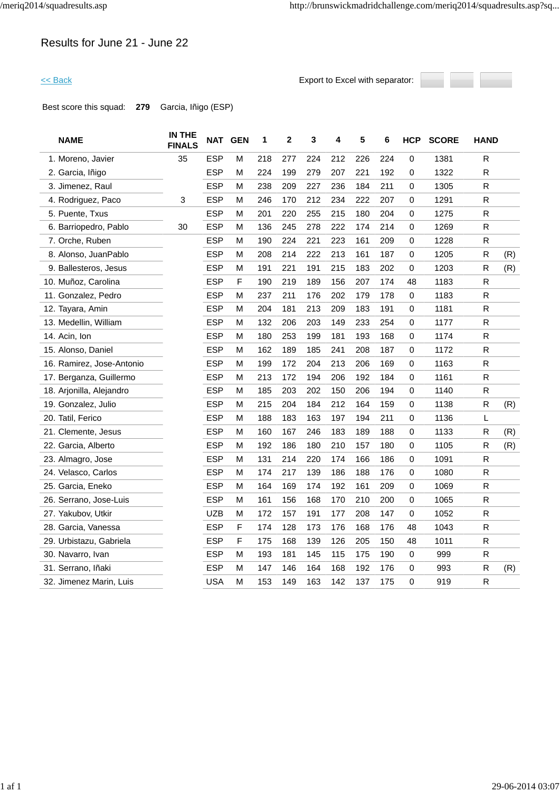### Results for June 21 - June 22

<< Back Export to Excel with separator:



Best score this squad: **279** Garcia, Iñigo (ESP)

| 1. Moreno, Javier<br>2. Garcia, Iñigo | 35 | <b>ESP</b><br><b>ESP</b> | M | 218 |     |     |     |     |     |              |      |              |     |
|---------------------------------------|----|--------------------------|---|-----|-----|-----|-----|-----|-----|--------------|------|--------------|-----|
|                                       |    |                          |   |     | 277 | 224 | 212 | 226 | 224 | 0            | 1381 | R            |     |
|                                       |    |                          | M | 224 | 199 | 279 | 207 | 221 | 192 | $\mathbf 0$  | 1322 | $\mathsf R$  |     |
| 3. Jimenez, Raul                      |    | <b>ESP</b>               | М | 238 | 209 | 227 | 236 | 184 | 211 | 0            | 1305 | R            |     |
| 4. Rodriguez, Paco                    | 3  | <b>ESP</b>               | м | 246 | 170 | 212 | 234 | 222 | 207 | 0            | 1291 | $\mathsf R$  |     |
| 5. Puente, Txus                       |    | <b>ESP</b>               | м | 201 | 220 | 255 | 215 | 180 | 204 | 0            | 1275 | R            |     |
| 6. Barriopedro, Pablo                 | 30 | <b>ESP</b>               | м | 136 | 245 | 278 | 222 | 174 | 214 | 0            | 1269 | R            |     |
| 7. Orche, Ruben                       |    | <b>ESP</b>               | М | 190 | 224 | 221 | 223 | 161 | 209 | $\mathbf{0}$ | 1228 | R            |     |
| 8. Alonso, JuanPablo                  |    | <b>ESP</b>               | M | 208 | 214 | 222 | 213 | 161 | 187 | 0            | 1205 | R            | (R) |
| 9. Ballesteros, Jesus                 |    | <b>ESP</b>               | M | 191 | 221 | 191 | 215 | 183 | 202 | 0            | 1203 | R            | (R) |
| 10. Muñoz, Carolina                   |    | <b>ESP</b>               | F | 190 | 219 | 189 | 156 | 207 | 174 | 48           | 1183 | ${\sf R}$    |     |
| 11. Gonzalez, Pedro                   |    | <b>ESP</b>               | M | 237 | 211 | 176 | 202 | 179 | 178 | $\mathbf 0$  | 1183 | R            |     |
| 12. Tayara, Amin                      |    | <b>ESP</b>               | M | 204 | 181 | 213 | 209 | 183 | 191 | 0            | 1181 | $\mathsf{R}$ |     |
| 13. Medellin, William                 |    | <b>ESP</b>               | M | 132 | 206 | 203 | 149 | 233 | 254 | 0            | 1177 | R            |     |
| 14. Acin, Ion                         |    | <b>ESP</b>               | М | 180 | 253 | 199 | 181 | 193 | 168 | 0            | 1174 | R            |     |
| 15. Alonso, Daniel                    |    | <b>ESP</b>               | М | 162 | 189 | 185 | 241 | 208 | 187 | 0            | 1172 | R            |     |
| 16. Ramirez, Jose-Antonio             |    | <b>ESP</b>               | M | 199 | 172 | 204 | 213 | 206 | 169 | 0            | 1163 | $\mathsf R$  |     |
| 17. Berganza, Guillermo               |    | <b>ESP</b>               | M | 213 | 172 | 194 | 206 | 192 | 184 | 0            | 1161 | $\mathsf R$  |     |
| 18. Arjonilla, Alejandro              |    | <b>ESP</b>               | М | 185 | 203 | 202 | 150 | 206 | 194 | 0            | 1140 | R            |     |
| 19. Gonzalez, Julio                   |    | <b>ESP</b>               | м | 215 | 204 | 184 | 212 | 164 | 159 | 0            | 1138 | R            | (R) |
| 20. Tatil, Ferico                     |    | <b>ESP</b>               | M | 188 | 183 | 163 | 197 | 194 | 211 | 0            | 1136 | L            |     |
| 21. Clemente, Jesus                   |    | <b>ESP</b>               | М | 160 | 167 | 246 | 183 | 189 | 188 | 0            | 1133 | $\mathsf{R}$ | (R) |
| 22. Garcia, Alberto                   |    | <b>ESP</b>               | M | 192 | 186 | 180 | 210 | 157 | 180 | 0            | 1105 | R            | (R) |
| 23. Almagro, Jose                     |    | <b>ESP</b>               | М | 131 | 214 | 220 | 174 | 166 | 186 | 0            | 1091 | R            |     |
| 24. Velasco, Carlos                   |    | <b>ESP</b>               | М | 174 | 217 | 139 | 186 | 188 | 176 | 0            | 1080 | R            |     |
| 25. Garcia, Eneko                     |    | <b>ESP</b>               | М | 164 | 169 | 174 | 192 | 161 | 209 | 0            | 1069 | $\mathsf R$  |     |
| 26. Serrano, Jose-Luis                |    | <b>ESP</b>               | М | 161 | 156 | 168 | 170 | 210 | 200 | 0            | 1065 | $\mathsf R$  |     |
| 27. Yakubov, Utkir                    |    | <b>UZB</b>               | м | 172 | 157 | 191 | 177 | 208 | 147 | 0            | 1052 | R            |     |
| 28. Garcia, Vanessa                   |    | <b>ESP</b>               | F | 174 | 128 | 173 | 176 | 168 | 176 | 48           | 1043 | R            |     |
| 29. Urbistazu, Gabriela               |    | <b>ESP</b>               | F | 175 | 168 | 139 | 126 | 205 | 150 | 48           | 1011 | $\mathsf R$  |     |
| 30. Navarro, Ivan                     |    | <b>ESP</b>               | M | 193 | 181 | 145 | 115 | 175 | 190 | 0            | 999  | R            |     |
| 31. Serrano, Iñaki                    |    | <b>ESP</b>               | M | 147 | 146 | 164 | 168 | 192 | 176 | 0            | 993  | R            | (R) |
| 32. Jimenez Marin, Luis               |    | <b>USA</b>               | М | 153 | 149 | 163 | 142 | 137 | 175 | 0            | 919  | R            |     |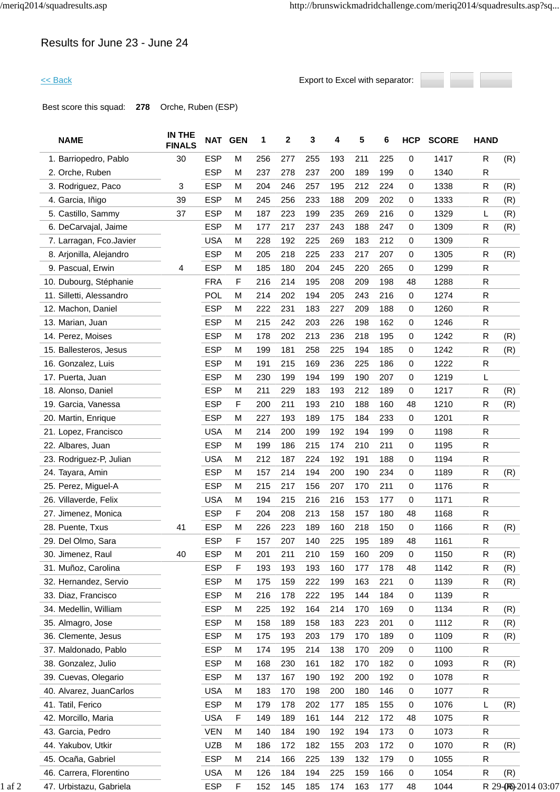### Results for June 23 - June 24

<< Back Export to Excel with separator:



Best score this squad: **278** Orche, Ruben (ESP)

| <b>NAME</b>              | IN THE<br><b>FINALS</b> |            | NAT GEN     | 1   | 2   | 3   | 4   | 5   | 6   | <b>HCP</b>  | <b>SCORE</b> | <b>HAND</b>  |                     |
|--------------------------|-------------------------|------------|-------------|-----|-----|-----|-----|-----|-----|-------------|--------------|--------------|---------------------|
| 1. Barriopedro, Pablo    | 30                      | <b>ESP</b> | M           | 256 | 277 | 255 | 193 | 211 | 225 | 0           | 1417         | $\mathsf{R}$ | (R)                 |
| 2. Orche, Ruben          |                         | <b>ESP</b> | M           | 237 | 278 | 237 | 200 | 189 | 199 | 0           | 1340         | $\mathsf{R}$ |                     |
| 3. Rodriguez, Paco       | 3                       | <b>ESP</b> | M           | 204 | 246 | 257 | 195 | 212 | 224 | 0           | 1338         | $\mathsf{R}$ | (R)                 |
| 4. Garcia, Iñigo         | 39                      | <b>ESP</b> | M           | 245 | 256 | 233 | 188 | 209 | 202 | 0           | 1333         | $\mathsf{R}$ | (R)                 |
| 5. Castillo, Sammy       | 37                      | <b>ESP</b> | M           | 187 | 223 | 199 | 235 | 269 | 216 | 0           | 1329         | L            | (R)                 |
| 6. DeCarvajal, Jaime     |                         | <b>ESP</b> | M           | 177 | 217 | 237 | 243 | 188 | 247 | 0           | 1309         | R            | (R)                 |
| 7. Larragan, Fco.Javier  |                         | <b>USA</b> | M           | 228 | 192 | 225 | 269 | 183 | 212 | 0           | 1309         | $\mathsf{R}$ |                     |
| 8. Arjonilla, Alejandro  |                         | <b>ESP</b> | M           | 205 | 218 | 225 | 233 | 217 | 207 | 0           | 1305         | $\mathsf{R}$ | (R)                 |
| 9. Pascual, Erwin        | 4                       | <b>ESP</b> | M           | 185 | 180 | 204 | 245 | 220 | 265 | 0           | 1299         | $\mathsf{R}$ |                     |
| 10. Dubourg, Stéphanie   |                         | <b>FRA</b> | F           | 216 | 214 | 195 | 208 | 209 | 198 | 48          | 1288         | $\mathsf{R}$ |                     |
| 11. Silletti, Alessandro |                         | POL        | M           | 214 | 202 | 194 | 205 | 243 | 216 | 0           | 1274         | $\mathsf{R}$ |                     |
| 12. Machon, Daniel       |                         | <b>ESP</b> | M           | 222 | 231 | 183 | 227 | 209 | 188 | 0           | 1260         | $\mathsf{R}$ |                     |
| 13. Marian, Juan         |                         | <b>ESP</b> | M           | 215 | 242 | 203 | 226 | 198 | 162 | 0           | 1246         | $\mathsf{R}$ |                     |
| 14. Perez, Moises        |                         | <b>ESP</b> | M           | 178 | 202 | 213 | 236 | 218 | 195 | 0           | 1242         | $\mathsf{R}$ | (R)                 |
| 15. Ballesteros, Jesus   |                         | <b>ESP</b> | M           | 199 | 181 | 258 | 225 | 194 | 185 | 0           | 1242         | $\mathsf{R}$ | (R)                 |
| 16. Gonzalez, Luis       |                         | <b>ESP</b> | M           | 191 | 215 | 169 | 236 | 225 | 186 | 0           | 1222         | $\mathsf{R}$ |                     |
| 17. Puerta, Juan         |                         | <b>ESP</b> | M           | 230 | 199 | 194 | 199 | 190 | 207 | 0           | 1219         | L            |                     |
| 18. Alonso, Daniel       |                         | <b>ESP</b> | M           | 211 | 229 | 183 | 193 | 212 | 189 | 0           | 1217         | $\mathsf{R}$ | (R)                 |
| 19. Garcia, Vanessa      |                         | <b>ESP</b> | F           | 200 | 211 | 193 | 210 | 188 | 160 | 48          | 1210         | $\mathsf{R}$ | (R)                 |
| 20. Martin, Enrique      |                         | <b>ESP</b> | M           | 227 | 193 | 189 | 175 | 184 | 233 | 0           | 1201         | $\mathsf{R}$ |                     |
| 21. Lopez, Francisco     |                         | <b>USA</b> | M           | 214 | 200 | 199 | 192 | 194 | 199 | 0           | 1198         | $\mathsf{R}$ |                     |
| 22. Albares, Juan        |                         | <b>ESP</b> | M           | 199 | 186 | 215 | 174 | 210 | 211 | 0           | 1195         | $\mathsf{R}$ |                     |
| 23. Rodriguez-P, Julian  |                         | <b>USA</b> | M           | 212 | 187 | 224 | 192 | 191 | 188 | 0           | 1194         | $\mathsf{R}$ |                     |
| 24. Tayara, Amin         |                         | <b>ESP</b> | M           | 157 | 214 | 194 | 200 | 190 | 234 | 0           | 1189         | $\mathsf{R}$ | (R)                 |
| 25. Perez, Miguel-A      |                         | <b>ESP</b> | M           | 215 | 217 | 156 | 207 | 170 | 211 | 0           | 1176         | ${\sf R}$    |                     |
| 26. Villaverde, Felix    |                         | <b>USA</b> | M           | 194 | 215 | 216 | 216 | 153 | 177 | 0           | 1171         | $\mathsf{R}$ |                     |
| 27. Jimenez, Monica      |                         | <b>ESP</b> | $\mathsf F$ | 204 | 208 | 213 | 158 | 157 | 180 | 48          | 1168         | $\mathsf{R}$ |                     |
| 28. Puente, Txus         | 41                      | <b>ESP</b> | M           | 226 | 223 | 189 | 160 | 218 | 150 | 0           | 1166         | $\mathsf{R}$ | (R)                 |
| 29. Del Olmo, Sara       |                         | <b>ESP</b> | F           | 157 | 207 | 140 | 225 | 195 | 189 | 48          | 1161         | $\mathsf{R}$ |                     |
| 30. Jimenez, Raul        | 40                      | <b>ESP</b> | M           | 201 | 211 | 210 | 159 | 160 | 209 | 0           | 1150         | $\mathsf R$  | (R)                 |
| 31. Muñoz, Carolina      |                         | <b>ESP</b> | F           | 193 | 193 | 193 | 160 | 177 | 178 | 48          | 1142         | $\mathsf{R}$ | (R)                 |
| 32. Hernandez, Servio    |                         | <b>ESP</b> | M           | 175 | 159 | 222 | 199 | 163 | 221 | $\mathbf 0$ | 1139         | $\mathsf{R}$ | (R)                 |
| 33. Diaz, Francisco      |                         | <b>ESP</b> | M           | 216 | 178 | 222 | 195 | 144 | 184 | 0           | 1139         | $\mathsf{R}$ |                     |
| 34. Medellin, William    |                         | <b>ESP</b> | M           | 225 | 192 | 164 | 214 | 170 | 169 | 0           | 1134         | $\mathsf{R}$ | (R)                 |
| 35. Almagro, Jose        |                         | <b>ESP</b> | M           | 158 | 189 | 158 | 183 | 223 | 201 | 0           | 1112         | $\mathsf{R}$ | (R)                 |
| 36. Clemente, Jesus      |                         | <b>ESP</b> | M           | 175 | 193 | 203 | 179 | 170 | 189 | 0           | 1109         | $\mathsf{R}$ | (R)                 |
| 37. Maldonado, Pablo     |                         | <b>ESP</b> | M           | 174 | 195 | 214 | 138 | 170 | 209 | 0           | 1100         | $\mathsf{R}$ |                     |
| 38. Gonzalez, Julio      |                         | <b>ESP</b> | M           | 168 | 230 | 161 | 182 | 170 | 182 | 0           | 1093         | R            | (R)                 |
| 39. Cuevas, Olegario     |                         | <b>ESP</b> | M           | 137 | 167 | 190 | 192 | 200 | 192 | $\mathbf 0$ | 1078         | $\mathsf{R}$ |                     |
| 40. Alvarez, JuanCarlos  |                         | <b>USA</b> | M           | 183 | 170 | 198 | 200 | 180 | 146 | 0           | 1077         | $\mathsf{R}$ |                     |
| 41. Tatil, Ferico        |                         | <b>ESP</b> | M           | 179 | 178 | 202 | 177 | 185 | 155 | $\mathbf 0$ | 1076         | L            | (R)                 |
| 42. Morcillo, Maria      |                         | <b>USA</b> | $\mathsf F$ | 149 | 189 | 161 | 144 | 212 | 172 | 48          | 1075         | $\mathsf{R}$ |                     |
| 43. Garcia, Pedro        |                         | <b>VEN</b> | M           | 140 | 184 | 190 | 192 | 194 | 173 | 0           | 1073         | $\mathsf{R}$ |                     |
| 44. Yakubov, Utkir       |                         | <b>UZB</b> | M           | 186 | 172 | 182 | 155 | 203 | 172 | 0           | 1070         | R            | (R)                 |
| 45. Ocaña, Gabriel       |                         | <b>ESP</b> | M           | 214 | 166 | 225 | 139 | 132 | 179 | 0           | 1055         | $\mathsf{R}$ |                     |
| 46. Carrera, Florentino  |                         | <b>USA</b> |             | 126 | 184 | 194 | 225 | 159 | 166 | 0           | 1054         | $\mathsf{R}$ | (R)                 |
|                          |                         |            | M           |     |     |     |     |     |     |             |              |              |                     |
| 47. Urbistazu, Gabriela  |                         | <b>ESP</b> | F           | 152 | 145 | 185 | 174 | 163 | 177 | 48          | 1044         |              | R 29-(R)-2014 03:07 |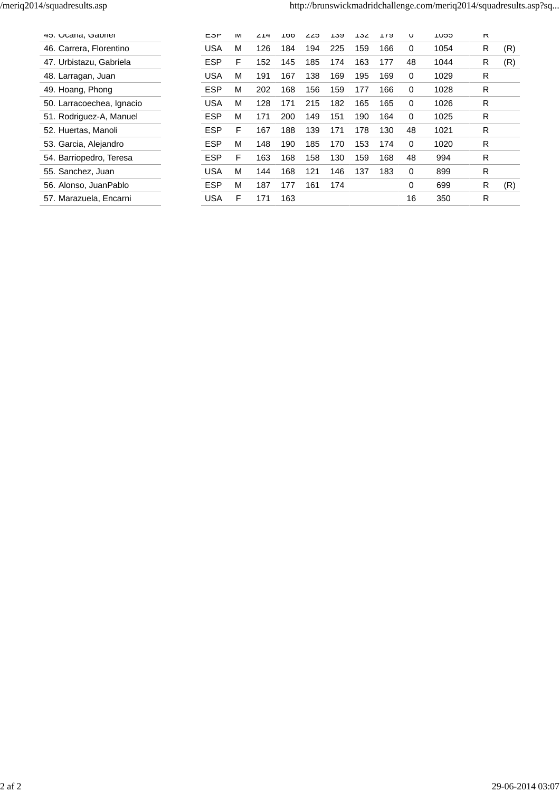| 45. Ucana, Gabriel        | ESP        | IVI | 214 | 100 | 225 | 139 | 7ک1⊺ | ។ / ម | U        | סכט ו | ĸ |     |
|---------------------------|------------|-----|-----|-----|-----|-----|------|-------|----------|-------|---|-----|
| 46. Carrera, Florentino   | <b>USA</b> | М   | 126 | 184 | 194 | 225 | 159  | 166   | 0        | 1054  | R | (R) |
| 47. Urbistazu. Gabriela   | <b>ESP</b> | F   | 152 | 145 | 185 | 174 | 163  | 177   | 48       | 1044  | R | (R) |
| 48. Larragan, Juan        | <b>USA</b> | м   | 191 | 167 | 138 | 169 | 195  | 169   | 0        | 1029  | R |     |
| 49. Hoang, Phong          | <b>ESP</b> | M   | 202 | 168 | 156 | 159 | 177  | 166   | $\Omega$ | 1028  | R |     |
| 50. Larracoechea, Ignacio | <b>USA</b> | M   | 128 | 171 | 215 | 182 | 165  | 165   | $\Omega$ | 1026  | R |     |
| 51. Rodriguez-A, Manuel   | <b>ESP</b> | м   | 171 | 200 | 149 | 151 | 190  | 164   | $\Omega$ | 1025  | R |     |
| 52. Huertas, Manoli       | <b>ESP</b> | F   | 167 | 188 | 139 | 171 | 178  | 130   | 48       | 1021  | R |     |
| 53. Garcia, Alejandro     | <b>ESP</b> | М   | 148 | 190 | 185 | 170 | 153  | 174   | $\Omega$ | 1020  | R |     |
| 54. Barriopedro, Teresa   | <b>ESP</b> | F   | 163 | 168 | 158 | 130 | 159  | 168   | 48       | 994   | R |     |
| 55. Sanchez, Juan         | <b>USA</b> | м   | 144 | 168 | 121 | 146 | 137  | 183   | $\Omega$ | 899   | R |     |
| 56. Alonso, JuanPablo     | <b>ESP</b> | М   | 187 | 177 | 161 | 174 |      |       | 0        | 699   | R | (R) |
| 57. Marazuela, Encarni    | <b>USA</b> | F   | 171 | 163 |     |     |      |       | 16       | 350   | R |     |
|                           |            |     |     |     |     |     |      |       |          |       |   |     |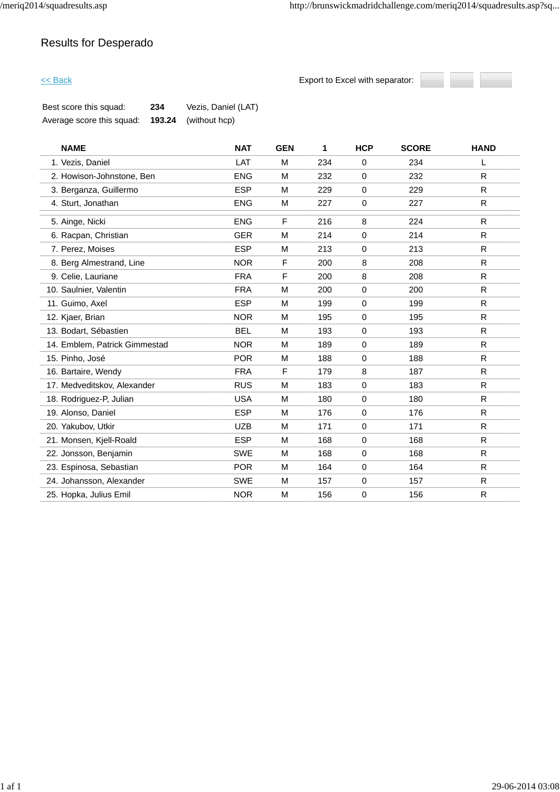### Results for Desperado

 $\leq$  Back  $\leq$  Back Back Export to Excel with separator:



| Best score this squad:    | 234 | Vezis, Daniel (LAT)    |
|---------------------------|-----|------------------------|
| Average score this squad: |     | $193.24$ (without hcp) |

| <b>NAME</b>                   | <b>NAT</b> | <b>GEN</b> | 1   | <b>HCP</b>  | <b>SCORE</b> | <b>HAND</b>  |
|-------------------------------|------------|------------|-----|-------------|--------------|--------------|
| 1. Vezis, Daniel              | LAT        | M          | 234 | $\mathbf 0$ | 234          | L            |
| 2. Howison-Johnstone, Ben     | <b>ENG</b> | M          | 232 | $\mathbf 0$ | 232          | $\mathsf{R}$ |
| 3. Berganza, Guillermo        | <b>ESP</b> | M          | 229 | 0           | 229          | $\mathsf{R}$ |
| 4. Sturt, Jonathan            | <b>ENG</b> | M          | 227 | 0           | 227          | R            |
| 5. Ainge, Nicki               | <b>ENG</b> | F          | 216 | 8           | 224          | $\mathsf{R}$ |
| 6. Racpan, Christian          | <b>GER</b> | M          | 214 | 0           | 214          | R.           |
| 7. Perez, Moises              | <b>ESP</b> | M          | 213 | 0           | 213          | R            |
| 8. Berg Almestrand, Line      | <b>NOR</b> | F          | 200 | 8           | 208          | R            |
| 9. Celie, Lauriane            | <b>FRA</b> | F          | 200 | 8           | 208          | $\mathsf{R}$ |
| 10. Saulnier, Valentin        | <b>FRA</b> | M          | 200 | 0           | 200          | R            |
| 11. Guimo, Axel               | <b>ESP</b> | M          | 199 | 0           | 199          | $\mathsf{R}$ |
| 12. Kjaer, Brian              | <b>NOR</b> | M          | 195 | 0           | 195          | R            |
| 13. Bodart, Sébastien         | <b>BEL</b> | M          | 193 | 0           | 193          | R.           |
| 14. Emblem, Patrick Gimmestad | <b>NOR</b> | M          | 189 | $\mathbf 0$ | 189          | $\mathsf{R}$ |
| 15. Pinho, José               | <b>POR</b> | м          | 188 | 0           | 188          | R            |
| 16. Bartaire, Wendy           | <b>FRA</b> | F          | 179 | 8           | 187          | $\mathsf{R}$ |
| 17. Medveditskov, Alexander   | <b>RUS</b> | M          | 183 | 0           | 183          | $\mathsf{R}$ |
| 18. Rodriguez-P, Julian       | <b>USA</b> | M          | 180 | $\mathbf 0$ | 180          | R            |
| 19. Alonso, Daniel            | <b>ESP</b> | M          | 176 | 0           | 176          | R            |
| 20. Yakubov, Utkir            | <b>UZB</b> | M          | 171 | 0           | 171          | $\mathsf{R}$ |
| 21. Monsen, Kjell-Roald       | <b>ESP</b> | M          | 168 | 0           | 168          | R            |
| 22. Jonsson, Benjamin         | <b>SWE</b> | M          | 168 | $\mathbf 0$ | 168          | R            |
| 23. Espinosa, Sebastian       | <b>POR</b> | M          | 164 | 0           | 164          | $\mathsf{R}$ |
| 24. Johansson, Alexander      | <b>SWE</b> | M          | 157 | 0           | 157          | R            |
| 25. Hopka, Julius Emil        | <b>NOR</b> | М          | 156 | 0           | 156          | R            |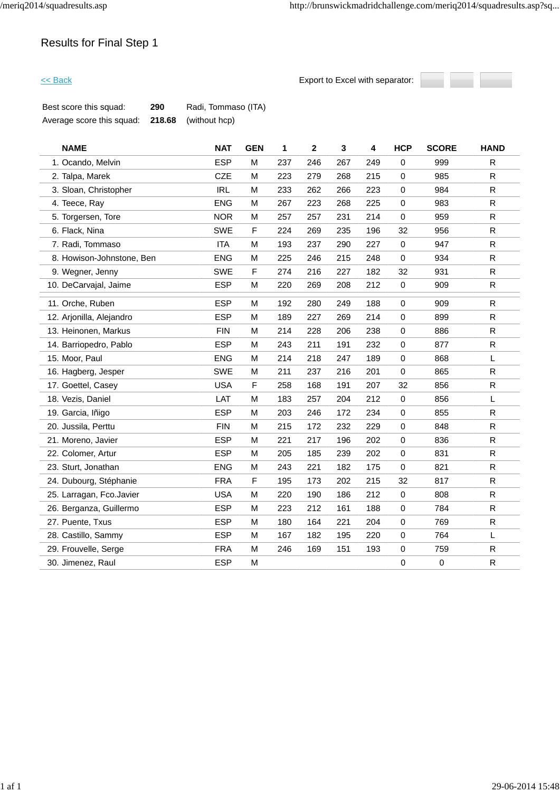

| Best score this squad:    | 290 | Radi, Tommaso (ITA)         |
|---------------------------|-----|-----------------------------|
| Average score this squad: |     | <b>218.68</b> (without hcp) |

| <b>NAME</b>               | <b>NAT</b> | <b>GEN</b> | 1   | $\mathbf{2}$ | $\mathbf{3}$ | 4   | <b>HCP</b>  | <b>SCORE</b> | <b>HAND</b>  |
|---------------------------|------------|------------|-----|--------------|--------------|-----|-------------|--------------|--------------|
| 1. Ocando, Melvin         | <b>ESP</b> | м          | 237 | 246          | 267          | 249 | $\mathbf 0$ | 999          | R.           |
| 2. Talpa, Marek           | <b>CZE</b> | M          | 223 | 279          | 268          | 215 | $\mathbf 0$ | 985          | $\mathsf{R}$ |
| 3. Sloan, Christopher     | <b>IRL</b> | M          | 233 | 262          | 266          | 223 | $\mathbf 0$ | 984          | $\mathsf{R}$ |
| 4. Teece, Ray             | <b>ENG</b> | M          | 267 | 223          | 268          | 225 | $\pmb{0}$   | 983          | ${\sf R}$    |
| 5. Torgersen, Tore        | <b>NOR</b> | M          | 257 | 257          | 231          | 214 | $\mathbf 0$ | 959          | $\mathsf{R}$ |
| 6. Flack, Nina            | <b>SWE</b> | F          | 224 | 269          | 235          | 196 | 32          | 956          | ${\sf R}$    |
| 7. Radi, Tommaso          | <b>ITA</b> | M          | 193 | 237          | 290          | 227 | $\mathbf 0$ | 947          | R            |
| 8. Howison-Johnstone, Ben | <b>ENG</b> | M          | 225 | 246          | 215          | 248 | $\pmb{0}$   | 934          | $\mathsf{R}$ |
| 9. Wegner, Jenny          | <b>SWE</b> | F          | 274 | 216          | 227          | 182 | 32          | 931          | R            |
| 10. DeCarvajal, Jaime     | <b>ESP</b> | M          | 220 | 269          | 208          | 212 | $\pmb{0}$   | 909          | $\mathsf{R}$ |
| 11. Orche, Ruben          | <b>ESP</b> | M          | 192 | 280          | 249          | 188 | $\mathbf 0$ | 909          | R            |
| 12. Arjonilla, Alejandro  | <b>ESP</b> | M          | 189 | 227          | 269          | 214 | $\mathbf 0$ | 899          | $\mathsf R$  |
| 13. Heinonen, Markus      | <b>FIN</b> | M          | 214 | 228          | 206          | 238 | $\mathbf 0$ | 886          | $\mathsf{R}$ |
| 14. Barriopedro, Pablo    | <b>ESP</b> | M          | 243 | 211          | 191          | 232 | $\pmb{0}$   | 877          | ${\sf R}$    |
| 15. Moor, Paul            | <b>ENG</b> | M          | 214 | 218          | 247          | 189 | $\mathbf 0$ | 868          | L            |
| 16. Hagberg, Jesper       | <b>SWE</b> | M          | 211 | 237          | 216          | 201 | $\pmb{0}$   | 865          | ${\sf R}$    |
| 17. Goettel, Casey        | <b>USA</b> | F          | 258 | 168          | 191          | 207 | 32          | 856          | R            |
| 18. Vezis, Daniel         | LAT        | M          | 183 | 257          | 204          | 212 | $\pmb{0}$   | 856          | L            |
| 19. Garcia, Iñigo         | <b>ESP</b> | M          | 203 | 246          | 172          | 234 | 0           | 855          | R            |
| 20. Jussila, Perttu       | <b>FIN</b> | M          | 215 | 172          | 232          | 229 | $\mathbf 0$ | 848          | ${\sf R}$    |
| 21. Moreno, Javier        | <b>ESP</b> | M          | 221 | 217          | 196          | 202 | 0           | 836          | R            |
| 22. Colomer, Artur        | <b>ESP</b> | M          | 205 | 185          | 239          | 202 | $\mathbf 0$ | 831          | R.           |
| 23. Sturt, Jonathan       | <b>ENG</b> | M          | 243 | 221          | 182          | 175 | $\pmb{0}$   | 821          | $\mathsf{R}$ |
| 24. Dubourg, Stéphanie    | <b>FRA</b> | F          | 195 | 173          | 202          | 215 | 32          | 817          | $\mathsf{R}$ |
| 25. Larragan, Fco.Javier  | <b>USA</b> | M          | 220 | 190          | 186          | 212 | 0           | 808          | $\mathsf{R}$ |
| 26. Berganza, Guillermo   | <b>ESP</b> | M          | 223 | 212          | 161          | 188 | $\mathbf 0$ | 784          | $\mathsf{R}$ |
| 27. Puente, Txus          | <b>ESP</b> | M          | 180 | 164          | 221          | 204 | $\mathbf 0$ | 769          | $\mathsf R$  |
| 28. Castillo, Sammy       | <b>ESP</b> | M          | 167 | 182          | 195          | 220 | $\mathbf 0$ | 764          | L            |
| 29. Frouvelle, Serge      | <b>FRA</b> | M          | 246 | 169          | 151          | 193 | $\pmb{0}$   | 759          | $\mathsf R$  |
| 30. Jimenez, Raul         | <b>ESP</b> | M          |     |              |              |     | 0           | 0            | $\mathsf{R}$ |
|                           |            |            |     |              |              |     |             |              |              |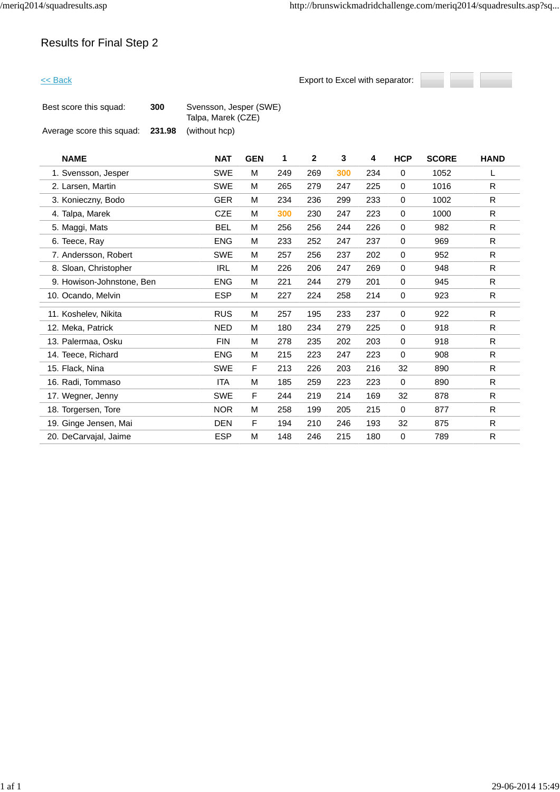

| Best score this squad:    | 300    | Svensson, Jesper (SWE)<br>Talpa, Marek (CZE) |
|---------------------------|--------|----------------------------------------------|
| Average score this squad: | 231.98 | (without hcp)                                |

| <b>NAME</b>               | <b>NAT</b> | <b>GEN</b> | 1   | $\mathbf{2}$ | 3   | 4   | <b>HCP</b>  | <b>SCORE</b> | <b>HAND</b>  |
|---------------------------|------------|------------|-----|--------------|-----|-----|-------------|--------------|--------------|
| 1. Svensson, Jesper       | <b>SWE</b> | м          | 249 | 269          | 300 | 234 | $\mathbf 0$ | 1052         | L            |
| 2. Larsen, Martin         | <b>SWE</b> | M          | 265 | 279          | 247 | 225 | $\mathbf 0$ | 1016         | R            |
| 3. Konieczny, Bodo        | <b>GER</b> | м          | 234 | 236          | 299 | 233 | $\mathbf 0$ | 1002         | R            |
| 4. Talpa, Marek           | <b>CZE</b> | M          | 300 | 230          | 247 | 223 | $\mathbf 0$ | 1000         | R            |
| 5. Maggi, Mats            | <b>BEL</b> | M          | 256 | 256          | 244 | 226 | $\mathbf 0$ | 982          | R            |
| 6. Teece, Ray             | <b>ENG</b> | M          | 233 | 252          | 247 | 237 | $\mathbf 0$ | 969          | $\mathsf{R}$ |
| 7. Andersson, Robert      | <b>SWE</b> | M          | 257 | 256          | 237 | 202 | $\mathbf 0$ | 952          | R            |
| 8. Sloan, Christopher     | <b>IRL</b> | M          | 226 | 206          | 247 | 269 | 0           | 948          | $\mathsf{R}$ |
| 9. Howison-Johnstone, Ben | <b>ENG</b> | м          | 221 | 244          | 279 | 201 | $\mathbf 0$ | 945          | $\mathsf{R}$ |
| 10. Ocando, Melvin        | <b>ESP</b> | M          | 227 | 224          | 258 | 214 | $\mathbf 0$ | 923          | R            |
| 11. Koshelev, Nikita      | <b>RUS</b> | M          | 257 | 195          | 233 | 237 | 0           | 922          | R            |
| 12. Meka, Patrick         | <b>NED</b> | м          | 180 | 234          | 279 | 225 | $\mathbf 0$ | 918          | $\mathsf{R}$ |
| 13. Palermaa, Osku        | <b>FIN</b> | м          | 278 | 235          | 202 | 203 | 0           | 918          | R            |
| 14. Teece, Richard        | <b>ENG</b> | M          | 215 | 223          | 247 | 223 | 0           | 908          | R            |
| 15. Flack, Nina           | <b>SWE</b> | F          | 213 | 226          | 203 | 216 | 32          | 890          | R            |
| 16. Radi, Tommaso         | <b>ITA</b> | м          | 185 | 259          | 223 | 223 | $\mathbf 0$ | 890          | ${\sf R}$    |
| 17. Wegner, Jenny         | <b>SWE</b> | F          | 244 | 219          | 214 | 169 | 32          | 878          | R            |
| 18. Torgersen, Tore       | <b>NOR</b> | м          | 258 | 199          | 205 | 215 | $\mathbf 0$ | 877          | R            |
| 19. Ginge Jensen, Mai     | <b>DEN</b> | F          | 194 | 210          | 246 | 193 | 32          | 875          | R            |
| 20. DeCarvajal, Jaime     | <b>ESP</b> | M          | 148 | 246          | 215 | 180 | 0           | 789          | ${\sf R}$    |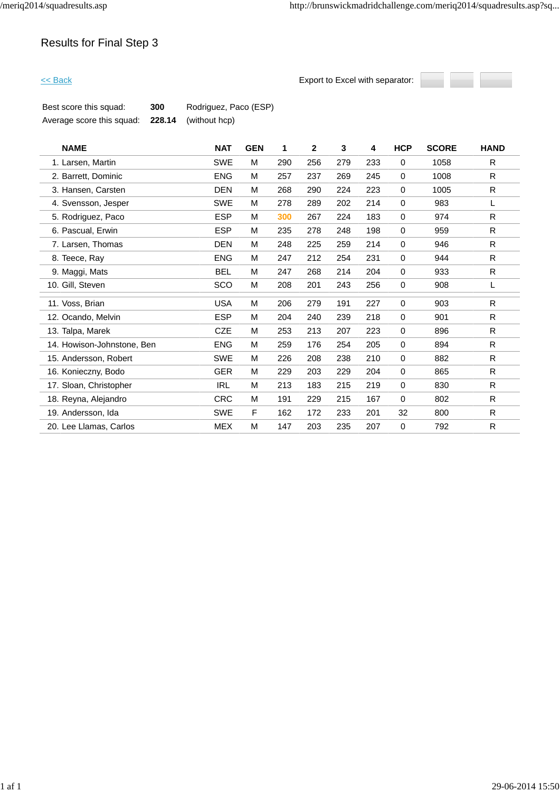

| Best score this squad:    | 300 | Rodriguez, Paco (ESP)       |
|---------------------------|-----|-----------------------------|
| Average score this squad: |     | <b>228.14</b> (without hcp) |

| <b>NAME</b>                | <b>NAT</b> | <b>GEN</b> | 1   | $\overline{2}$ | 3   | 4   | <b>HCP</b>  | <b>SCORE</b> | <b>HAND</b>  |
|----------------------------|------------|------------|-----|----------------|-----|-----|-------------|--------------|--------------|
| 1. Larsen, Martin          | <b>SWE</b> | M          | 290 | 256            | 279 | 233 | 0           | 1058         | R            |
| 2. Barrett, Dominic        | <b>ENG</b> | M          | 257 | 237            | 269 | 245 | 0           | 1008         | R.           |
| 3. Hansen, Carsten         | <b>DEN</b> | M          | 268 | 290            | 224 | 223 | $\mathbf 0$ | 1005         | R            |
| 4. Svensson, Jesper        | <b>SWE</b> | M          | 278 | 289            | 202 | 214 | 0           | 983          | L            |
| 5. Rodriguez, Paco         | <b>ESP</b> | M          | 300 | 267            | 224 | 183 | 0           | 974          | $\mathsf{R}$ |
| 6. Pascual, Erwin          | <b>ESP</b> | M          | 235 | 278            | 248 | 198 | $\mathbf 0$ | 959          | R            |
| 7. Larsen, Thomas          | <b>DEN</b> | M          | 248 | 225            | 259 | 214 | 0           | 946          | R            |
| 8. Teece, Ray              | <b>ENG</b> | M          | 247 | 212            | 254 | 231 | 0           | 944          | $\mathsf{R}$ |
| 9. Maggi, Mats             | <b>BEL</b> | M          | 247 | 268            | 214 | 204 | $\mathbf 0$ | 933          | R            |
| 10. Gill, Steven           | SCO        | M          | 208 | 201            | 243 | 256 | 0           | 908          | L            |
| 11. Voss, Brian            | <b>USA</b> | M          | 206 | 279            | 191 | 227 | $\mathbf 0$ | 903          | R            |
| 12. Ocando, Melvin         | <b>ESP</b> | M          | 204 | 240            | 239 | 218 | 0           | 901          | R            |
| 13. Talpa, Marek           | <b>CZE</b> | M          | 253 | 213            | 207 | 223 | 0           | 896          | ${\sf R}$    |
| 14. Howison-Johnstone, Ben | <b>ENG</b> | M          | 259 | 176            | 254 | 205 | 0           | 894          | R            |
| 15. Andersson, Robert      | <b>SWE</b> | M          | 226 | 208            | 238 | 210 | 0           | 882          | ${\sf R}$    |
| 16. Konieczny, Bodo        | GER        | M          | 229 | 203            | 229 | 204 | 0           | 865          | $\mathsf{R}$ |
| 17. Sloan, Christopher     | <b>IRL</b> | M          | 213 | 183            | 215 | 219 | $\mathbf 0$ | 830          | $\mathsf{R}$ |
| 18. Reyna, Alejandro       | <b>CRC</b> | M          | 191 | 229            | 215 | 167 | 0           | 802          | ${\sf R}$    |
| 19. Andersson, Ida         | <b>SWE</b> | F          | 162 | 172            | 233 | 201 | 32          | 800          | ${\sf R}$    |
| 20. Lee Llamas, Carlos     | <b>MEX</b> | M          | 147 | 203            | 235 | 207 | 0           | 792          | $\mathsf{R}$ |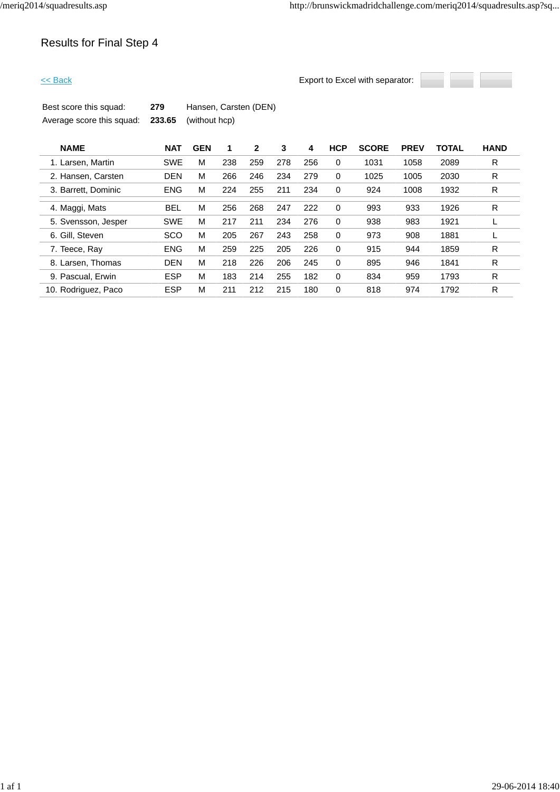

| Best score this squad:                         | 279 | Hansen, Carsten (DEN) |
|------------------------------------------------|-----|-----------------------|
| Average score this squad: 233.65 (without hcp) |     |                       |

| <b>NAME</b>         | <b>NAT</b> | <b>GEN</b> |     | 2   | 3   | 4   | <b>HCP</b>  | <b>SCORE</b> | <b>PREV</b> | <b>TOTAL</b> | <b>HAND</b> |
|---------------------|------------|------------|-----|-----|-----|-----|-------------|--------------|-------------|--------------|-------------|
| 1. Larsen, Martin   | <b>SWE</b> | M          | 238 | 259 | 278 | 256 | 0           | 1031         | 1058        | 2089         | R           |
| 2. Hansen, Carsten  | <b>DEN</b> | M          | 266 | 246 | 234 | 279 | 0           | 1025         | 1005        | 2030         | R           |
| 3. Barrett, Dominic | <b>ENG</b> | M          | 224 | 255 | 211 | 234 | 0           | 924          | 1008        | 1932         | R           |
| 4. Maggi, Mats      | <b>BEL</b> | M          | 256 | 268 | 247 | 222 | $\Omega$    | 993          | 933         | 1926         | R           |
| 5. Svensson, Jesper | <b>SWE</b> | M          | 217 | 211 | 234 | 276 | 0           | 938          | 983         | 1921         |             |
| 6. Gill. Steven     | <b>SCO</b> | M          | 205 | 267 | 243 | 258 | 0           | 973          | 908         | 1881         |             |
| 7. Teece, Ray       | <b>ENG</b> | M          | 259 | 225 | 205 | 226 | 0           | 915          | 944         | 1859         | R           |
| 8. Larsen, Thomas   | <b>DEN</b> | M          | 218 | 226 | 206 | 245 | 0           | 895          | 946         | 1841         | R           |
| 9. Pascual, Erwin   | <b>ESP</b> | M          | 183 | 214 | 255 | 182 | $\mathbf 0$ | 834          | 959         | 1793         | R           |
| 10. Rodriguez, Paco | <b>ESP</b> | M          | 211 | 212 | 215 | 180 | 0           | 818          | 974         | 1792         | R           |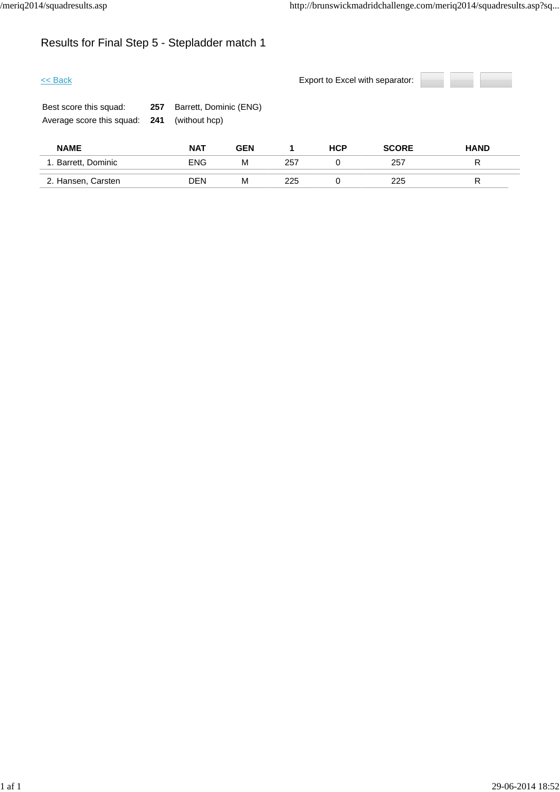# Results for Final Step 5 - Stepladder match 1

| $<<$ Back                                           |            |                                         |            | Export to Excel with separator: |            |              |             |  |  |
|-----------------------------------------------------|------------|-----------------------------------------|------------|---------------------------------|------------|--------------|-------------|--|--|
| Best score this squad:<br>Average score this squad: | 257<br>241 | Barrett, Dominic (ENG)<br>(without hcp) |            |                                 |            |              |             |  |  |
| <b>NAME</b>                                         |            | <b>NAT</b>                              | <b>GEN</b> | 1                               | <b>HCP</b> | <b>SCORE</b> | <b>HAND</b> |  |  |
| 1. Barrett, Dominic                                 |            | <b>ENG</b>                              | М          | 257                             | 0          | 257          | R           |  |  |
| 2. Hansen, Carsten                                  |            | <b>DEN</b>                              | M          | 225                             | 0          | 225          | R           |  |  |